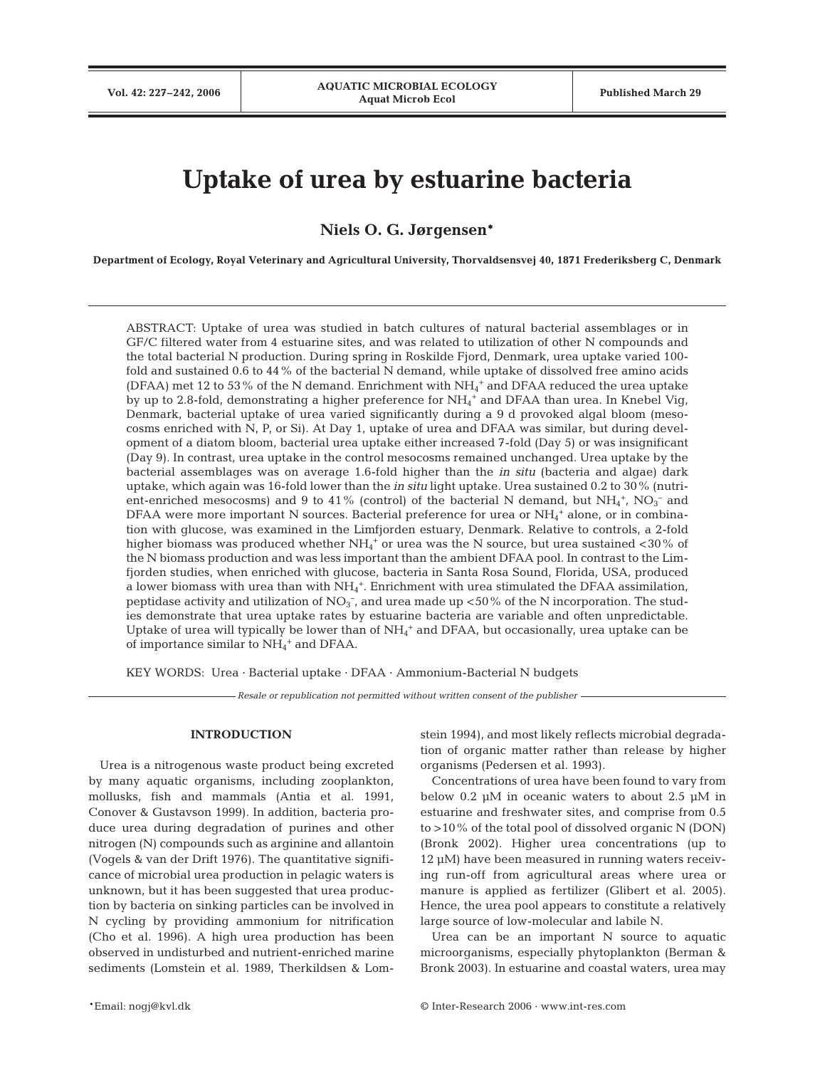# **Uptake of urea by estuarine bacteria**

**Niels O. G. Jørgensen\***

**Department of Ecology, Royal Veterinary and Agricultural University, Thorvaldsensvej 40, 1871 Frederiksberg C, Denmark**

ABSTRACT: Uptake of urea was studied in batch cultures of natural bacterial assemblages or in GF/C filtered water from 4 estuarine sites, and was related to utilization of other N compounds and the total bacterial N production. During spring in Roskilde Fjord, Denmark, urea uptake varied 100 fold and sustained 0.6 to 44% of the bacterial N demand, while uptake of dissolved free amino acids (DFAA) met 12 to 53% of the N demand. Enrichment with  $NH_4^+$  and DFAA reduced the urea uptake by up to 2.8-fold, demonstrating a higher preference for NH<sub>4</sub><sup>+</sup> and DFAA than urea. In Knebel Vig, Denmark, bacterial uptake of urea varied significantly during a 9 d provoked algal bloom (mesocosms enriched with N, P, or Si). At Day 1, uptake of urea and DFAA was similar, but during development of a diatom bloom, bacterial urea uptake either increased 7-fold (Day 5) or was insignificant (Day 9). In contrast, urea uptake in the control mesocosms remained unchanged. Urea uptake by the bacterial assemblages was on average 1.6-fold higher than the *in situ* (bacteria and algae) dark uptake, which again was 16-fold lower than the *in situ* light uptake. Urea sustained 0.2 to 30% (nutrient-enriched mesocosms) and 9 to 41% (control) of the bacterial N demand, but  $NH<sub>4</sub>$ <sup>+</sup>, NO<sub>3</sub><sup>-</sup> and DFAA were more important N sources. Bacterial preference for urea or  $\mathrm{NH}_4^+$  alone, or in combination with glucose, was examined in the Limfjorden estuary, Denmark. Relative to controls, a 2-fold higher biomass was produced whether  $\mathrm{NH}_4{}^+$  or urea was the N source, but urea sustained <30 % of the N biomass production and was less important than the ambient DFAA pool. In contrast to the Limfjorden studies, when enriched with glucose, bacteria in Santa Rosa Sound, Florida, USA, produced a lower biomass with urea than with  $NH_4^+$ . Enrichment with urea stimulated the DFAA assimilation, peptidase activity and utilization of  $NO_3^-$ , and urea made up <50% of the N incorporation. The studies demonstrate that urea uptake rates by estuarine bacteria are variable and often unpredictable. Uptake of urea will typically be lower than of  $NH_4^+$  and DFAA, but occasionally, urea uptake can be of importance similar to  $\mathrm{NH_4}^+$  and DFAA.

KEY WORDS: Urea · Bacterial uptake · DFAA · Ammonium-Bacterial N budgets

*Resale or republication not permitted without written consent of the publisher*

## **INTRODUCTION**

Urea is a nitrogenous waste product being excreted by many aquatic organisms, including zooplankton, mollusks, fish and mammals (Antia et al. 1991, Conover & Gustavson 1999). In addition, bacteria produce urea during degradation of purines and other nitrogen (N) compounds such as arginine and allantoin (Vogels & van der Drift 1976). The quantitative significance of microbial urea production in pelagic waters is unknown, but it has been suggested that urea production by bacteria on sinking particles can be involved in N cycling by providing ammonium for nitrification (Cho et al. 1996). A high urea production has been observed in undisturbed and nutrient-enriched marine sediments (Lomstein et al. 1989, Therkildsen & Lomstein 1994), and most likely reflects microbial degradation of organic matter rather than release by higher organisms (Pedersen et al. 1993).

Concentrations of urea have been found to vary from below 0.2 µM in oceanic waters to about 2.5 µM in estuarine and freshwater sites, and comprise from 0.5 to >10% of the total pool of dissolved organic N (DON) (Bronk 2002). Higher urea concentrations (up to 12 µM) have been measured in running waters receiving run-off from agricultural areas where urea or manure is applied as fertilizer (Glibert et al. 2005). Hence, the urea pool appears to constitute a relatively large source of low-molecular and labile N.

Urea can be an important N source to aquatic microorganisms, especially phytoplankton (Berman & Bronk 2003). In estuarine and coastal waters, urea may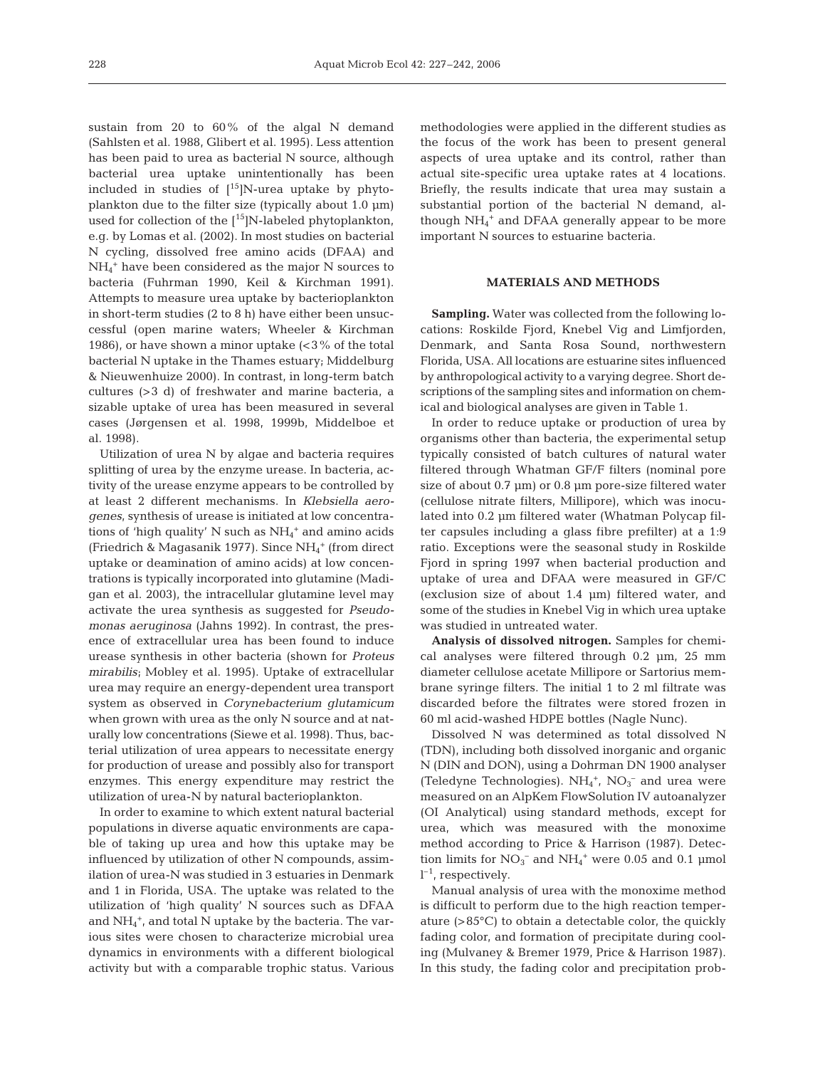sustain from 20 to 60% of the algal N demand (Sahlsten et al. 1988, Glibert et al. 1995). Less attention has been paid to urea as bacterial N source, although bacterial urea uptake unintentionally has been included in studies of  $[15]$ N-urea uptake by phytoplankton due to the filter size (typically about 1.0 µm) used for collection of the  $[$ <sup>15</sup>]N-labeled phytoplankton, e.g. by Lomas et al. (2002). In most studies on bacterial N cycling, dissolved free amino acids (DFAA) and NH4 <sup>+</sup> have been considered as the major N sources to bacteria (Fuhrman 1990, Keil & Kirchman 1991). Attempts to measure urea uptake by bacterioplankton in short-term studies (2 to 8 h) have either been unsuccessful (open marine waters; Wheeler & Kirchman 1986), or have shown a minor uptake  $\langle$  < 3% of the total bacterial N uptake in the Thames estuary; Middelburg & Nieuwenhuize 2000). In contrast, in long-term batch cultures (>3 d) of freshwater and marine bacteria, a sizable uptake of urea has been measured in several cases (Jørgensen et al. 1998, 1999b, Middelboe et al. 1998).

Utilization of urea N by algae and bacteria requires splitting of urea by the enzyme urease. In bacteria, activity of the urease enzyme appears to be controlled by at least 2 different mechanisms. In *Klebsiella aerogenes*, synthesis of urease is initiated at low concentrations of 'high quality' N such as  $NH_4^+$  and amino acids (Friedrich & Magasanik 1977). Since NH<sub>4</sub><sup>+</sup> (from direct uptake or deamination of amino acids) at low concentrations is typically incorporated into glutamine (Madigan et al. 2003), the intracellular glutamine level may activate the urea synthesis as suggested for *Pseudomonas aeruginosa* (Jahns 1992). In contrast, the presence of extracellular urea has been found to induce urease synthesis in other bacteria (shown for *Proteus mirabilis*; Mobley et al. 1995). Uptake of extracellular urea may require an energy-dependent urea transport system as observed in *Corynebacterium glutamicum* when grown with urea as the only N source and at naturally low concentrations (Siewe et al. 1998). Thus, bacterial utilization of urea appears to necessitate energy for production of urease and possibly also for transport enzymes. This energy expenditure may restrict the utilization of urea-N by natural bacterioplankton.

In order to examine to which extent natural bacterial populations in diverse aquatic environments are capable of taking up urea and how this uptake may be influenced by utilization of other N compounds, assimilation of urea-N was studied in 3 estuaries in Denmark and 1 in Florida, USA. The uptake was related to the utilization of 'high quality' N sources such as DFAA and NH<sub>4</sub><sup>+</sup>, and total N uptake by the bacteria. The various sites were chosen to characterize microbial urea dynamics in environments with a different biological activity but with a comparable trophic status. Various

methodologies were applied in the different studies as the focus of the work has been to present general aspects of urea uptake and its control, rather than actual site-specific urea uptake rates at 4 locations. Briefly, the results indicate that urea may sustain a substantial portion of the bacterial N demand, although  $NH_4^+$  and DFAA generally appear to be more important N sources to estuarine bacteria.

## **MATERIALS AND METHODS**

**Sampling.** Water was collected from the following locations: Roskilde Fjord, Knebel Vig and Limfjorden, Denmark, and Santa Rosa Sound, northwestern Florida, USA. All locations are estuarine sites influenced by anthropological activity to a varying degree. Short descriptions of the sampling sites and information on chemical and biological analyses are given in Table 1.

In order to reduce uptake or production of urea by organisms other than bacteria, the experimental setup typically consisted of batch cultures of natural water filtered through Whatman GF/F filters (nominal pore size of about 0.7  $\mu$ m) or 0.8  $\mu$ m pore-size filtered water (cellulose nitrate filters, Millipore), which was inoculated into 0.2 µm filtered water (Whatman Polycap filter capsules including a glass fibre prefilter) at a 1:9 ratio. Exceptions were the seasonal study in Roskilde Fjord in spring 1997 when bacterial production and uptake of urea and DFAA were measured in GF/C (exclusion size of about 1.4 µm) filtered water, and some of the studies in Knebel Vig in which urea uptake was studied in untreated water.

**Analysis of dissolved nitrogen.** Samples for chemical analyses were filtered through 0.2 µm, 25 mm diameter cellulose acetate Millipore or Sartorius membrane syringe filters. The initial 1 to 2 ml filtrate was discarded before the filtrates were stored frozen in 60 ml acid-washed HDPE bottles (Nagle Nunc).

Dissolved N was determined as total dissolved N (TDN), including both dissolved inorganic and organic N (DIN and DON), using a Dohrman DN 1900 analyser (Teledyne Technologies).  $NH_4$ <sup>+</sup>,  $NO_3$ <sup>-</sup> and urea were measured on an AlpKem FlowSolution IV autoanalyzer (OI Analytical) using standard methods, except for urea, which was measured with the monoxime method according to Price & Harrison (1987). Detection limits for  $NO_3^-$  and  $NH_4$ <sup>+</sup> were 0.05 and 0.1 µmol  $l^{-1}$ , respectively.

Manual analysis of urea with the monoxime method is difficult to perform due to the high reaction temperature (>85°C) to obtain a detectable color, the quickly fading color, and formation of precipitate during cooling (Mulvaney & Bremer 1979, Price & Harrison 1987). In this study, the fading color and precipitation prob-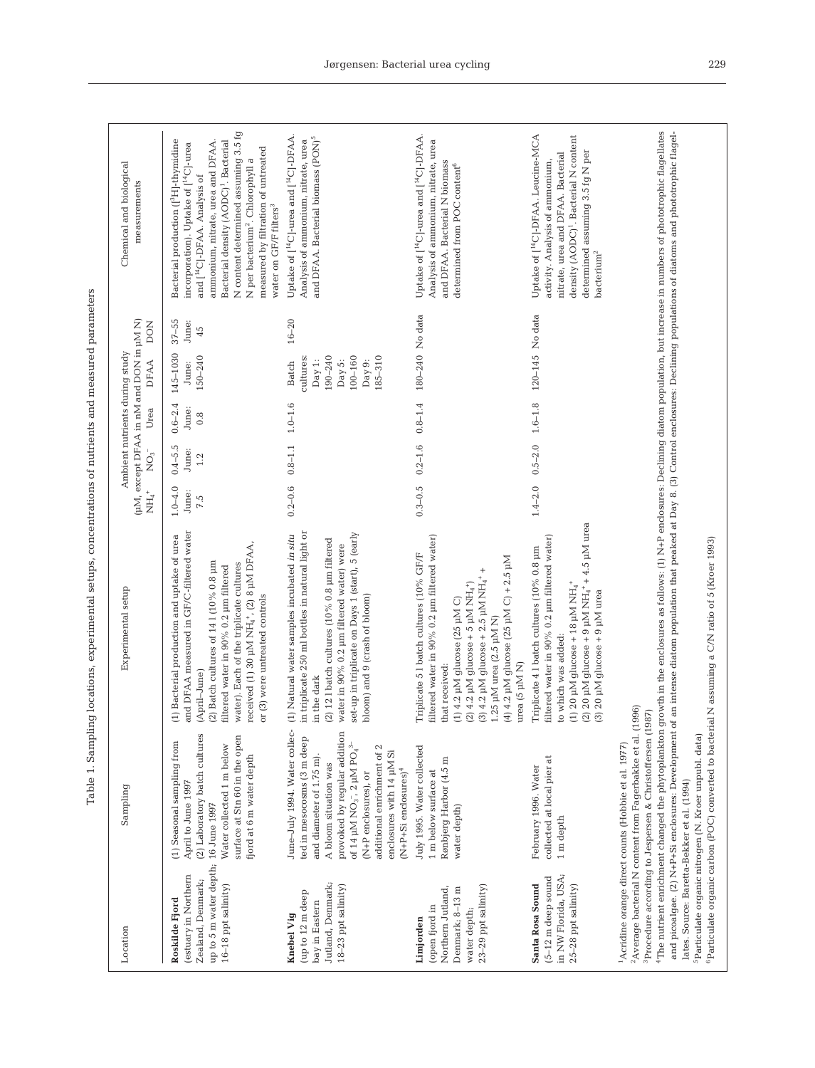| I | ł<br>i<br>ł<br>i<br>I<br>l                                      |
|---|-----------------------------------------------------------------|
|   | í<br>١<br>¢<br>l<br>١<br>ļ<br>j<br>í                            |
|   | $\frac{1}{2}$                                                   |
|   | ׇ֚֬֡֡<br>i<br>i                                                 |
|   | ï                                                               |
|   | ֕<br>$\frac{1}{2}$<br>ł<br>$\frac{1}{2}$                        |
|   | l<br>l<br>Ì<br>i<br>i<br>i                                      |
|   | ł<br>ž                                                          |
|   | $\frac{1}{2}$<br>į<br>l<br>i                                    |
|   | Ì<br>5<br>)<br>i<br>I<br>j<br>l<br>į<br>I                       |
|   | j<br>ï<br>i                                                     |
| ζ | is control<br>l<br>١<br>į<br>֚֕֕֡<br>į<br>ł<br>1<br>İ<br>7<br>ĺ |

<sup>1</sup>

| Location                                                                                                                  | Sampling                                                                                                                                                                                                                                                                                                           | Experimental setup                                                                                                                                                                                                                                                                                                                                                                                                                                                                                                     | (µM, except DFAA in nM and DON in µM N)<br>$NO_3^-$<br>t<br>HH | Urea                        | Ambient nutrients during study<br><b>DFAA</b>                                         | DON                      | Chemical and biological<br>measurements                                                                                                                                                                                                                                                                                                                                                                           |
|---------------------------------------------------------------------------------------------------------------------------|--------------------------------------------------------------------------------------------------------------------------------------------------------------------------------------------------------------------------------------------------------------------------------------------------------------------|------------------------------------------------------------------------------------------------------------------------------------------------------------------------------------------------------------------------------------------------------------------------------------------------------------------------------------------------------------------------------------------------------------------------------------------------------------------------------------------------------------------------|----------------------------------------------------------------|-----------------------------|---------------------------------------------------------------------------------------|--------------------------|-------------------------------------------------------------------------------------------------------------------------------------------------------------------------------------------------------------------------------------------------------------------------------------------------------------------------------------------------------------------------------------------------------------------|
| up to 5 m water depth; 16 June 1997<br>estuary in Northern)<br>Zealand, Denmark;<br>16-18 ppt salinity)<br>Roskilde Fjord | (2) Laboratory batch cultures<br>surface at Stn 60 in the open<br>(1) Seasonal sampling from<br>Water collected 1 m below<br>fjord at 6 m water depth<br>April to June 1997                                                                                                                                        | and DFAA measured in GF/C-filtered water<br>(1) Bacterial production and uptake of urea<br>received (1) 30 µM NH <sub>4</sub> +, (2) 8 µM DFAA,<br>(2) Batch cultures of $141(10\% 0.8 \mu m)$<br>water). Each of the triplicate cultures<br>filtered water in 90% 0.2 µm filtered<br>or (3) were untreated controls<br>(April-June)                                                                                                                                                                                   | $0.4 - 5.5$<br>June:<br>1.2<br>$1.0 - 4.0$<br>June:<br>7.5     | $0.6 - 2.4$<br>June:<br>0.8 | 145-1030<br>150-240<br>June:                                                          | $37 - 55$<br>June:<br>45 | N content determined assuming 3.5 fg<br>Bacterial production ([ <sup>3</sup> H]-thymidine<br>Bacterial density (AODC) <sup>1</sup> . Bacterial<br>ammonium, nitrate, urea and DFAA.<br>incorporation). Uptake of [ <sup>14</sup> C]-urea<br>measured by filtration of untreated<br>N per bacterium <sup>2</sup> . Chlorophyll a<br>and [ <sup>14</sup> C]-DFAA. Analysis of<br>water on GF/F filters <sup>3</sup> |
| Jutland, Denmark;<br>18-23 ppt salinity)<br>(up to 12 m deep<br>bay in Eastern<br><b>Knebel Vig</b>                       | provoked by regular addition<br>ted in mesocosms (3 m deep<br>of 14 $\upmu\text{M}\,\text{NO}_3$ , 2 $\upmu\text{M}\,\text{PO}_4{}^3$<br>additional enrichment of 2<br>enclosures with 14 µM Si<br>and diameter of 1.75 m).<br>A bloom situation was<br>$(N+P+Si$ enclosures) <sup>4</sup><br>(N+P enclosures), or | in triplicate 250 ml bottles in natural light or<br>set-up in triplicate on Days 1 (start), 5 (early<br>June-July 1994. Water collec- (1) Natural water samples incubated in situ<br>(2) 12 1 batch cultures (10% $0.8$ µm filtered<br>water in 90% 0.2 µm filtered water) were<br>bloom) and 9 (crash of bloom)<br>in the dark                                                                                                                                                                                        | $0.2 - 0.6$                                                    | $0.8 - 1.1$ $1.0 - 1.6$     | cultures:<br>190-240<br>$100 - 160$<br>185-310<br>Day 1:<br>Day 5:<br>Day 9:<br>Batch | $16 - 20$                | Uptake of [ <sup>14</sup> C]-urea and [ <sup>14</sup> C]-DFAA<br>and DFAA. Bacterial biomass (PON) <sup>5</sup><br>Analysis of ammonium, nitrate, urea                                                                                                                                                                                                                                                            |
| 23-29 ppt salinity)<br>Northern Jutland,<br>Denmark; 8-13 m<br>(open fjord in<br>water depth;<br>Limjorden                | July 1995. Water collected<br>Rønbjerg Harbor (4.5 m<br>1 m below surface at<br>water depth)                                                                                                                                                                                                                       | filtered water in 90% 0.2 µm filtered water)<br>Triplicate 51 batch cultures (10% GF/F<br>(4) 4.2 µM glucose (25 µM C) + 2.5 µM<br>$(3)$ 4.2 µM glucose + 2.5 µM NH4+<br>(2) 4.2 µM glucose + 5 µM NH4 <sup>+</sup> )<br>$(1)$ 4.2 µM glucose $(25 \mu M C)$<br>1.25 µM urea (2.5 µM N)<br>urea (5 µM N)<br>that received:                                                                                                                                                                                             | $0.2 - 1.6$<br>$0.3 - 0.5$                                     | $0.8 - 1.4$                 | 180-240 No data                                                                       |                          | Uptake of [ <sup>14</sup> C]-urea and [ <sup>14</sup> C]-DFAA<br>Analysis of ammonium, nitrate, urea<br>and DFAA. Bacterial N biomass<br>determined from POC content <sup>6</sup>                                                                                                                                                                                                                                 |
| in NW Florida, USA;<br>$(5-12 \text{ m}$ deep sound<br>Santa Rosa Sound<br>25-28 ppt salinity)                            | collected at local pier at<br>February 1996. Water<br>1 m depth                                                                                                                                                                                                                                                    | (2) 20 µM glucose + 9 µM NH4 <sup>+</sup> + 4.5 µM urea<br>filtered water in 90% 0.2 µm filtered water)<br>Triplicate 4 l batch cultures (10% 0.8 µm<br>(1) 20 $\mu$ M glucose + 18 $\mu$ M NH <sub>4</sub> <sup>+</sup><br>20 µM glucose + 9 µM urea<br>to which was added:<br>$\odot$                                                                                                                                                                                                                                | $0.5 - 2.0$<br>$1.4 - 2.0$                                     | $1.6 - 1.8$                 | 120-145 No data                                                                       |                          | Uptake of [ <sup>14</sup> C]-DFAA. Leucine-MCA<br>density (AODC) <sup>1</sup> . Bacterial N content<br>determined assuming 3.5 fg N per<br>nitrate, urea and DFAA. Bacterial<br>activity. Analysis of ammonium,<br>batchium <sup>2</sup>                                                                                                                                                                          |
| lates. Source: Baretta-Bekker et al. (1994)                                                                               | <sup>2</sup> Average bacterial N content from Fagerbakke et al. (1996)<br>${}^{3}$ Procedure according to Jespersen & Christoffersen (1987)<br><sup>5</sup> Particulate organic nitrogen (N. Kroer unpubl. data)<br><sup>1</sup> Acridine orange direct counts (Hobbie et al. 1977)                                | <sup>4</sup> The nutrient enrichment changed the phytoplankton growth in the enclosures as follows: (1) N+P enclosures: Declining diatom population, but increase in numbers of phototrophic flagellates<br>and picoalgae. (2) N+P+Si enclosures: Development of an intense diatom population that peaked at Day 8. (3) Control enclosures: Declining populations of diatoms and phototrophic flagel-<br><sup>6</sup> Particulate organic carbon (POC) converted to bacterial N assuming a C/N ratio of 5 (Kroer 1993) |                                                                |                             |                                                                                       |                          |                                                                                                                                                                                                                                                                                                                                                                                                                   |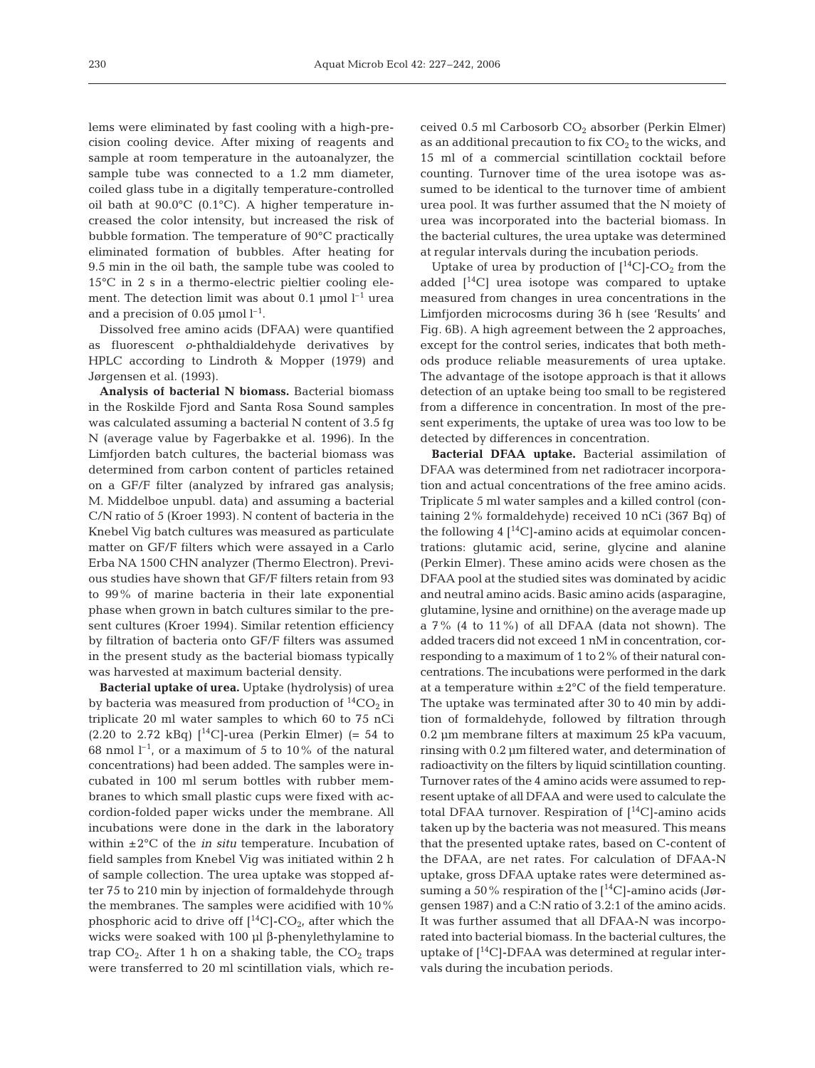lems were eliminated by fast cooling with a high-precision cooling device. After mixing of reagents and sample at room temperature in the autoanalyzer, the sample tube was connected to a 1.2 mm diameter, coiled glass tube in a digitally temperature-controlled oil bath at 90.0°C (0.1°C). A higher temperature increased the color intensity, but increased the risk of bubble formation. The temperature of 90°C practically eliminated formation of bubbles. After heating for 9.5 min in the oil bath, the sample tube was cooled to 15°C in 2 s in a thermo-electric pieltier cooling element. The detection limit was about 0.1  $\mu$ mol l<sup>-1</sup> urea and a precision of 0.05  $\mu$ mol  $l^{-1}$ .

Dissolved free amino acids (DFAA) were quantified as fluorescent *o*-phthaldialdehyde derivatives by HPLC according to Lindroth & Mopper (1979) and Jørgensen et al. (1993).

**Analysis of bacterial N biomass.** Bacterial biomass in the Roskilde Fjord and Santa Rosa Sound samples was calculated assuming a bacterial N content of 3.5 fg N (average value by Fagerbakke et al. 1996). In the Limfjorden batch cultures, the bacterial biomass was determined from carbon content of particles retained on a GF/F filter (analyzed by infrared gas analysis; M. Middelboe unpubl. data) and assuming a bacterial C/N ratio of 5 (Kroer 1993). N content of bacteria in the Knebel Vig batch cultures was measured as particulate matter on GF/F filters which were assayed in a Carlo Erba NA 1500 CHN analyzer (Thermo Electron). Previous studies have shown that GF/F filters retain from 93 to 99% of marine bacteria in their late exponential phase when grown in batch cultures similar to the present cultures (Kroer 1994). Similar retention efficiency by filtration of bacteria onto GF/F filters was assumed in the present study as the bacterial biomass typically was harvested at maximum bacterial density.

**Bacterial uptake of urea.** Uptake (hydrolysis) of urea by bacteria was measured from production of  ${}^{14}CO_2$  in triplicate 20 ml water samples to which 60 to 75 nCi (2.20 to 2.72 kBq)  $[14C]$ -urea (Perkin Elmer) (= 54 to 68 nmol  $l^{-1}$ , or a maximum of 5 to 10% of the natural concentrations) had been added. The samples were incubated in 100 ml serum bottles with rubber membranes to which small plastic cups were fixed with accordion-folded paper wicks under the membrane. All incubations were done in the dark in the laboratory within ±2°C of the *in situ* temperature. Incubation of field samples from Knebel Vig was initiated within 2 h of sample collection. The urea uptake was stopped after 75 to 210 min by injection of formaldehyde through the membranes. The samples were acidified with 10% phosphoric acid to drive off  $[$ <sup>14</sup>C $]$ -CO<sub>2</sub>, after which the wicks were soaked with 100 µl β-phenylethylamine to trap  $CO<sub>2</sub>$ . After 1 h on a shaking table, the  $CO<sub>2</sub>$  traps were transferred to 20 ml scintillation vials, which received 0.5 ml Carbosorb  $CO<sub>2</sub>$  absorber (Perkin Elmer) as an additional precaution to fix  $CO<sub>2</sub>$  to the wicks, and 15 ml of a commercial scintillation cocktail before counting. Turnover time of the urea isotope was assumed to be identical to the turnover time of ambient urea pool. It was further assumed that the N moiety of urea was incorporated into the bacterial biomass. In the bacterial cultures, the urea uptake was determined at regular intervals during the incubation periods.

Uptake of urea by production of  $[^{14}C]$ -CO<sub>2</sub> from the added  $[14C]$  urea isotope was compared to uptake measured from changes in urea concentrations in the Limfjorden microcosms during 36 h (see 'Results' and Fig. 6B). A high agreement between the 2 approaches, except for the control series, indicates that both methods produce reliable measurements of urea uptake. The advantage of the isotope approach is that it allows detection of an uptake being too small to be registered from a difference in concentration. In most of the present experiments, the uptake of urea was too low to be detected by differences in concentration.

**Bacterial DFAA uptake.** Bacterial assimilation of DFAA was determined from net radiotracer incorporation and actual concentrations of the free amino acids. Triplicate 5 ml water samples and a killed control (containing 2% formaldehyde) received 10 nCi (367 Bq) of the following 4  $\left[$ <sup>14</sup>C]-amino acids at equimolar concentrations: glutamic acid, serine, glycine and alanine (Perkin Elmer). These amino acids were chosen as the DFAA pool at the studied sites was dominated by acidic and neutral amino acids. Basic amino acids (asparagine, glutamine, lysine and ornithine) on the average made up a 7% (4 to 11%) of all DFAA (data not shown). The added tracers did not exceed 1 nM in concentration, corresponding to a maximum of 1 to 2% of their natural concentrations. The incubations were performed in the dark at a temperature within  $\pm 2^{\circ}$ C of the field temperature. The uptake was terminated after 30 to 40 min by addition of formaldehyde, followed by filtration through 0.2 µm membrane filters at maximum 25 kPa vacuum, rinsing with 0.2 µm filtered water, and determination of radioactivity on the filters by liquid scintillation counting. Turnover rates of the 4 amino acids were assumed to represent uptake of all DFAA and were used to calculate the total DFAA turnover. Respiration of  $[$ <sup>14</sup>C]-amino acids taken up by the bacteria was not measured. This means that the presented uptake rates, based on C-content of the DFAA, are net rates. For calculation of DFAA-N uptake, gross DFAA uptake rates were determined assuming a 50% respiration of the  $[$ <sup>14</sup>C]-amino acids (Jørgensen 1987) and a C:N ratio of 3.2:1 of the amino acids. It was further assumed that all DFAA-N was incorporated into bacterial biomass. In the bacterial cultures, the uptake of  $[$ <sup>14</sup>C]-DFAA was determined at regular intervals during the incubation periods.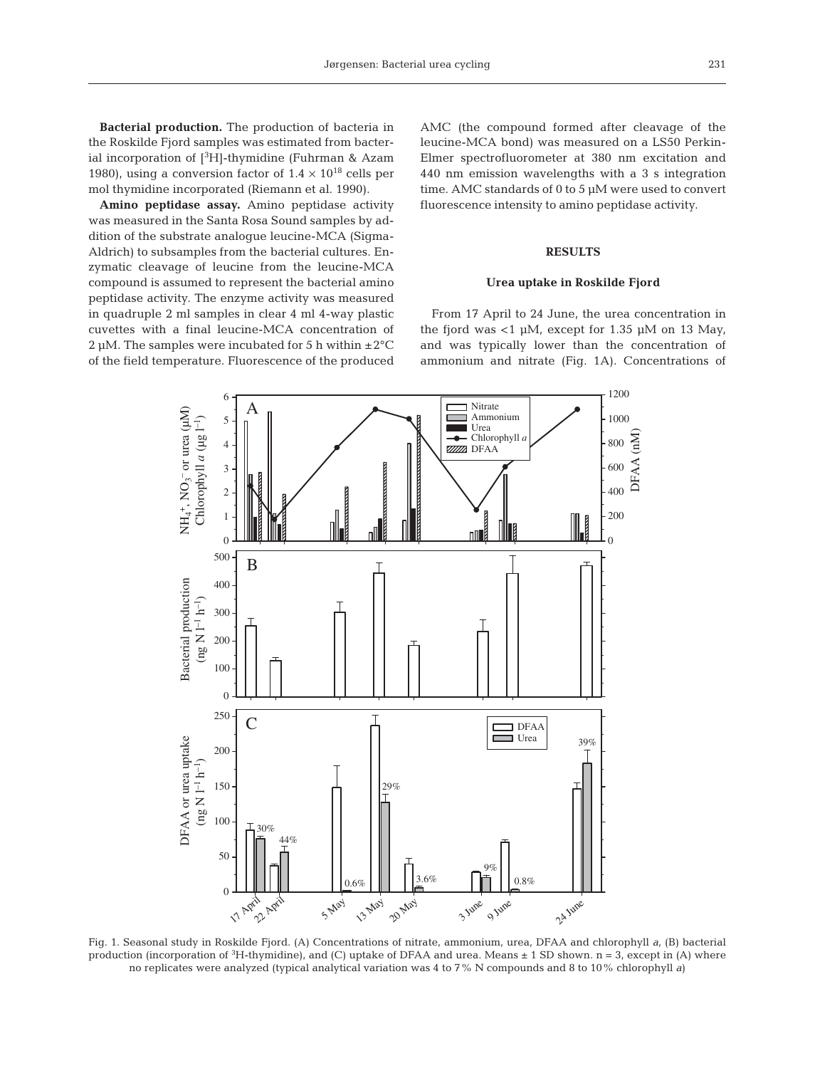**Bacterial production.** The production of bacteria in the Roskilde Fjord samples was estimated from bacterial incorporation of  $[{}^3H]$ -thymidine (Fuhrman & Azam 1980), using a conversion factor of  $1.4 \times 10^{18}$  cells per mol thymidine incorporated (Riemann et al. 1990).

**Amino peptidase assay.** Amino peptidase activity was measured in the Santa Rosa Sound samples by addition of the substrate analogue leucine-MCA (Sigma-Aldrich) to subsamples from the bacterial cultures. Enzymatic cleavage of leucine from the leucine-MCA compound is assumed to represent the bacterial amino peptidase activity. The enzyme activity was measured in quadruple 2 ml samples in clear 4 ml 4-way plastic cuvettes with a final leucine-MCA concentration of  $2 \mu$ M. The samples were incubated for 5 h within  $\pm 2^{\circ}$ C of the field temperature. Fluorescence of the produced AMC (the compound formed after cleavage of the leucine-MCA bond) was measured on a LS50 Perkin-Elmer spectrofluorometer at 380 nm excitation and 440 nm emission wavelengths with a 3 s integration time. AMC standards of 0 to 5 µM were used to convert fluorescence intensity to amino peptidase activity.

## **RESULTS**

#### **Urea uptake in Roskilde Fjord**

From 17 April to 24 June, the urea concentration in the fjord was <1  $\mu$ M, except for 1.35  $\mu$ M on 13 May, and was typically lower than the concentration of ammonium and nitrate (Fig. 1A). Concentrations of



Fig. 1. Seasonal study in Roskilde Fjord. (A) Concentrations of nitrate, ammonium, urea, DFAA and chlorophyll *a,* (B) bacterial production (incorporation of  ${}^{3}H$ -thymidine), and (C) uptake of DFAA and urea. Means  $\pm 1$  SD shown. n = 3, except in (A) where no replicates were analyzed (typical analytical variation was 4 to 7% N compounds and 8 to 10% chlorophyll *a*)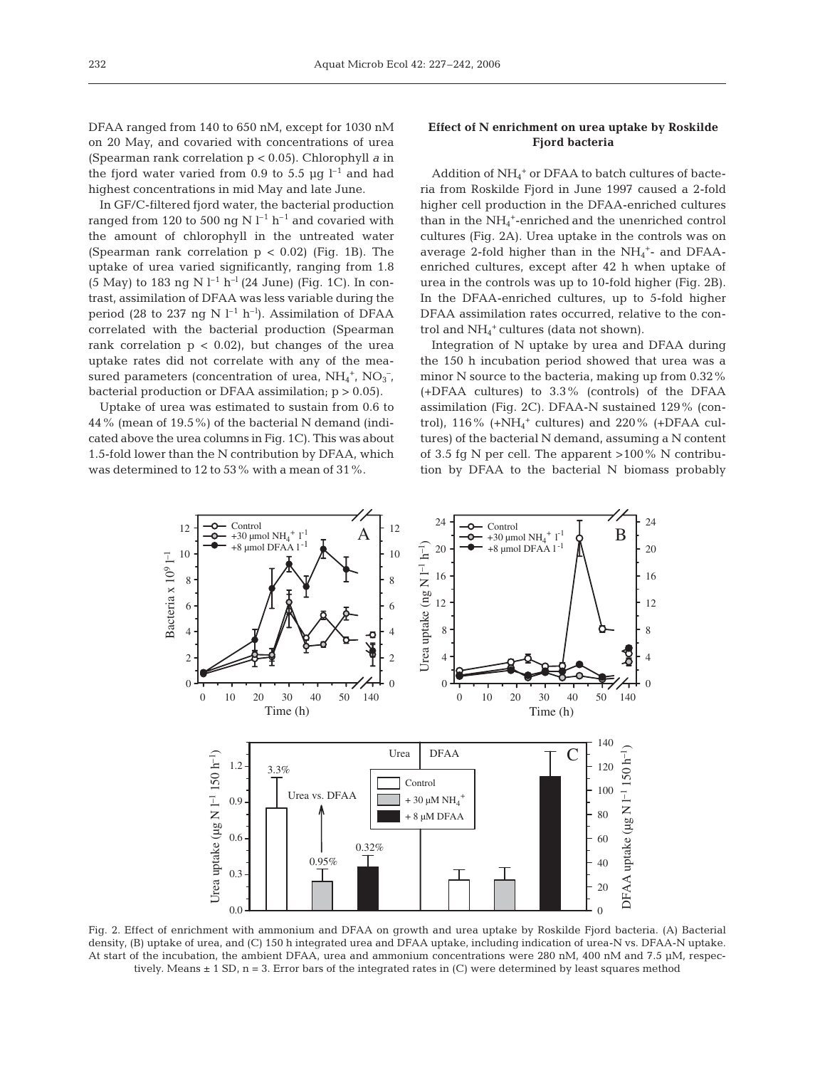DFAA ranged from 140 to 650 nM, except for 1030 nM on 20 May, and covaried with concentrations of urea (Spearman rank correlation p < 0.05). Chlorophyll *a* in the fjord water varied from 0.9 to 5.5  $\mu$ g l<sup>-1</sup> and had highest concentrations in mid May and late June.

In GF/C-filtered fjord water, the bacterial production ranged from 120 to 500 ng N $\rm l^{-1}$   $\rm h^{-1}$  and covaried with the amount of chlorophyll in the untreated water (Spearman rank correlation  $p < 0.02$ ) (Fig. 1B). The uptake of urea varied significantly, ranging from 1.8 (5 May) to 183 ng N  $l^{-1}$  h<sup>-1</sup> (24 June) (Fig. 1C). In contrast, assimilation of DFAA was less variable during the period (28 to 237 ng N  $l^{-1}$  h<sup>-1</sup>). Assimilation of DFAA correlated with the bacterial production (Spearman rank correlation  $p < 0.02$ ), but changes of the urea uptake rates did not correlate with any of the measured parameters (concentration of urea,  $NH_4^+$ ,  $NO_3^-$ , bacterial production or DFAA assimilation;  $p > 0.05$ ).

Uptake of urea was estimated to sustain from 0.6 to 44% (mean of 19.5%) of the bacterial N demand (indicated above the urea columns in Fig. 1C). This was about 1.5-fold lower than the N contribution by DFAA, which was determined to 12 to 53% with a mean of 31%.

# **Effect of N enrichment on urea uptake by Roskilde Fjord bacteria**

Addition of NH<sub>4</sub><sup>+</sup> or DFAA to batch cultures of bacteria from Roskilde Fjord in June 1997 caused a 2-fold higher cell production in the DFAA-enriched cultures than in the NH4 +-enriched and the unenriched control cultures (Fig. 2A). Urea uptake in the controls was on average 2-fold higher than in the  $NH_4^+$ - and DFAAenriched cultures, except after 42 h when uptake of urea in the controls was up to 10-fold higher (Fig. 2B). In the DFAA-enriched cultures, up to 5-fold higher DFAA assimilation rates occurred, relative to the con- $\operatorname{trol}$  and  $\mathrm{NH}_4{}^+$  cultures (data not shown).

Integration of N uptake by urea and DFAA during the 150 h incubation period showed that urea was a minor N source to the bacteria, making up from 0.32% (+DFAA cultures) to 3.3% (controls) of the DFAA assimilation (Fig. 2C). DFAA-N sustained 129% (control),  $116\%$  (+NH<sub>4</sub><sup>+</sup> cultures) and 220 $\%$  (+DFAA cultures) of the bacterial N demand, assuming a N content of 3.5 fg N per cell. The apparent  $>100\%$  N contribution by DFAA to the bacterial N biomass probably



Fig. 2. Effect of enrichment with ammonium and DFAA on growth and urea uptake by Roskilde Fjord bacteria. (A) Bacterial density, (B) uptake of urea, and (C) 150 h integrated urea and DFAA uptake, including indication of urea-N vs. DFAA-N uptake. At start of the incubation, the ambient DFAA, urea and ammonium concentrations were 280 nM, 400 nM and 7.5 µM, respectively. Means ± 1 SD, n = 3. Error bars of the integrated rates in (C) were determined by least squares method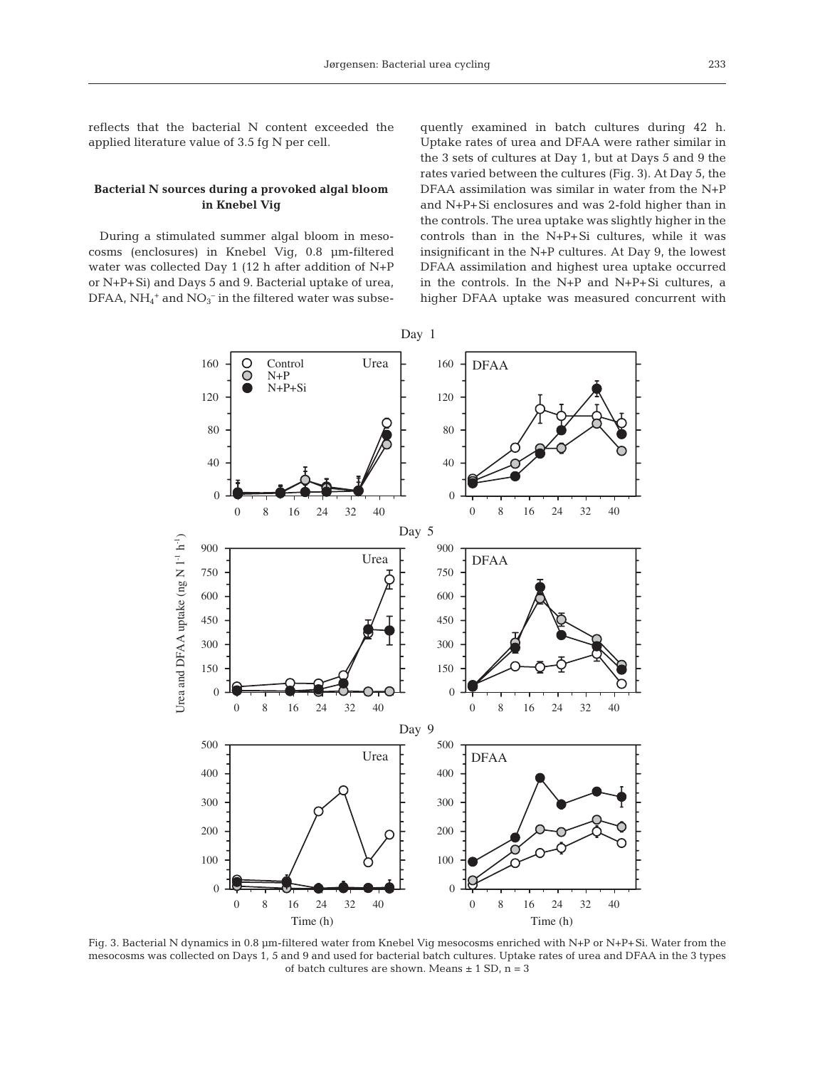reflects that the bacterial N content exceeded the applied literature value of 3.5 fg N per cell.

## **Bacterial N sources during a provoked algal bloom in Knebel Vig**

During a stimulated summer algal bloom in mesocosms (enclosures) in Knebel Vig, 0.8 µm-filtered water was collected Day 1 (12 h after addition of N+P or N+P+Si) and Days 5 and 9. Bacterial uptake of urea, DFAA,  $NH_4^+$  and  $NO_3^-$  in the filtered water was subse-

quently examined in batch cultures during 42 h. Uptake rates of urea and DFAA were rather similar in the 3 sets of cultures at Day 1, but at Days 5 and 9 the rates varied between the cultures (Fig. 3). At Day 5, the DFAA assimilation was similar in water from the N+P and N+P+Si enclosures and was 2-fold higher than in the controls. The urea uptake was slightly higher in the controls than in the N+P+Si cultures, while it was insignificant in the N+P cultures. At Day 9, the lowest DFAA assimilation and highest urea uptake occurred in the controls. In the N+P and N+P+Si cultures, a higher DFAA uptake was measured concurrent with



Fig. 3. Bacterial N dynamics in 0.8 µm-filtered water from Knebel Vig mesocosms enriched with N+P or N+P+Si. Water from the mesocosms was collected on Days 1, 5 and 9 and used for bacterial batch cultures. Uptake rates of urea and DFAA in the 3 types of batch cultures are shown. Means  $\pm$  1 SD, n = 3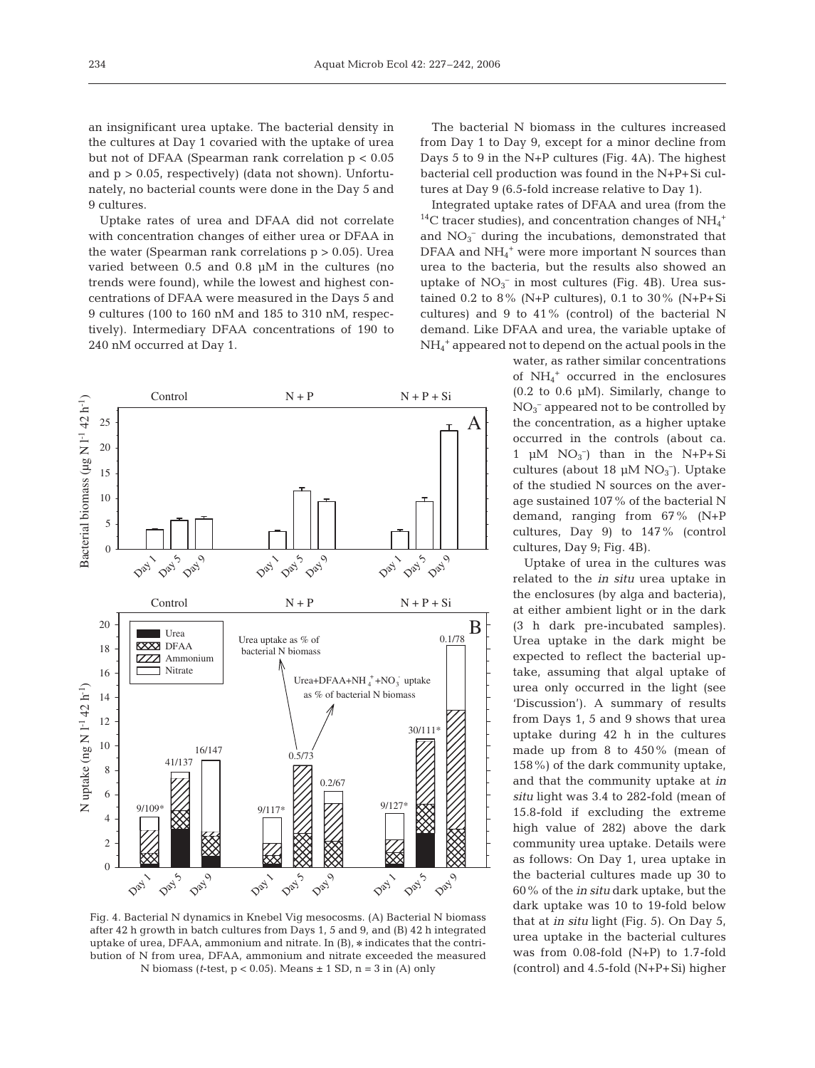an insignificant urea uptake. The bacterial density in the cultures at Day 1 covaried with the uptake of urea but not of DFAA (Spearman rank correlation p < 0.05 and  $p > 0.05$ , respectively) (data not shown). Unfortunately, no bacterial counts were done in the Day 5 and 9 cultures.

Uptake rates of urea and DFAA did not correlate with concentration changes of either urea or DFAA in the water (Spearman rank correlations  $p > 0.05$ ). Urea varied between 0.5 and 0.8 µM in the cultures (no trends were found), while the lowest and highest concentrations of DFAA were measured in the Days 5 and 9 cultures (100 to 160 nM and 185 to 310 nM, respectively). Intermediary DFAA concentrations of 190 to 240 nM occurred at Day 1.



Fig. 4. Bacterial N dynamics in Knebel Vig mesocosms. (A) Bacterial N biomass after 42 h growth in batch cultures from Days 1, 5 and 9, and (B) 42 h integrated uptake of urea, DFAA, ammonium and nitrate. In (B), \* indicates that the contribution of N from urea, DFAA, ammonium and nitrate exceeded the measured N biomass (*t*-test, p < 0.05). Means ± 1 SD, n = 3 in (A) only

The bacterial N biomass in the cultures increased from Day 1 to Day 9, except for a minor decline from Days 5 to 9 in the N+P cultures (Fig. 4A). The highest bacterial cell production was found in the N+P+Si cultures at Day 9 (6.5-fold increase relative to Day 1).

Integrated uptake rates of DFAA and urea (from the <sup>14</sup>C tracer studies), and concentration changes of  $NH_4^+$ and  $NO<sub>3</sub><sup>-</sup>$  during the incubations, demonstrated that DFAA and  $NH_4$ <sup>+</sup> were more important N sources than urea to the bacteria, but the results also showed an uptake of  $NO_3^-$  in most cultures (Fig. 4B). Urea sustained 0.2 to 8% (N+P cultures), 0.1 to 30% (N+P+Si cultures) and 9 to 41% (control) of the bacterial N demand. Like DFAA and urea, the variable uptake of NH4 <sup>+</sup> appeared not to depend on the actual pools in the

water, as rather similar concentrations of NH4 <sup>+</sup> occurred in the enclosures  $(0.2$  to  $0.6 \mu M$ ). Similarly, change to  $NO<sub>3</sub><sup>-</sup>$  appeared not to be controlled by the concentration, as a higher uptake occurred in the controls (about ca. 1  $\mu$ M NO<sub>3</sub><sup>-</sup>) than in the N+P+Si cultures (about 18 µM NO<sub>3</sub><sup>-</sup>). Uptake of the studied N sources on the average sustained 107% of the bacterial N demand, ranging from 67% (N+P cultures, Day 9) to 147% (control cultures, Day 9; Fig. 4B).

Uptake of urea in the cultures was related to the *in situ* urea uptake in the enclosures (by alga and bacteria), at either ambient light or in the dark (3 h dark pre-incubated samples). Urea uptake in the dark might be expected to reflect the bacterial uptake, assuming that algal uptake of urea only occurred in the light (see 'Discussion'). A summary of results from Days 1, 5 and 9 shows that urea uptake during 42 h in the cultures made up from 8 to 450% (mean of 158%) of the dark community uptake, and that the community uptake at *in situ* light was 3.4 to 282-fold (mean of 15.8-fold if excluding the extreme high value of 282) above the dark community urea uptake. Details were as follows: On Day 1, urea uptake in the bacterial cultures made up 30 to 60% of the *in situ* dark uptake, but the dark uptake was 10 to 19-fold below that at *in situ* light (Fig. 5). On Day 5, urea uptake in the bacterial cultures was from 0.08-fold (N+P) to 1.7-fold (control) and 4.5-fold (N+P+Si) higher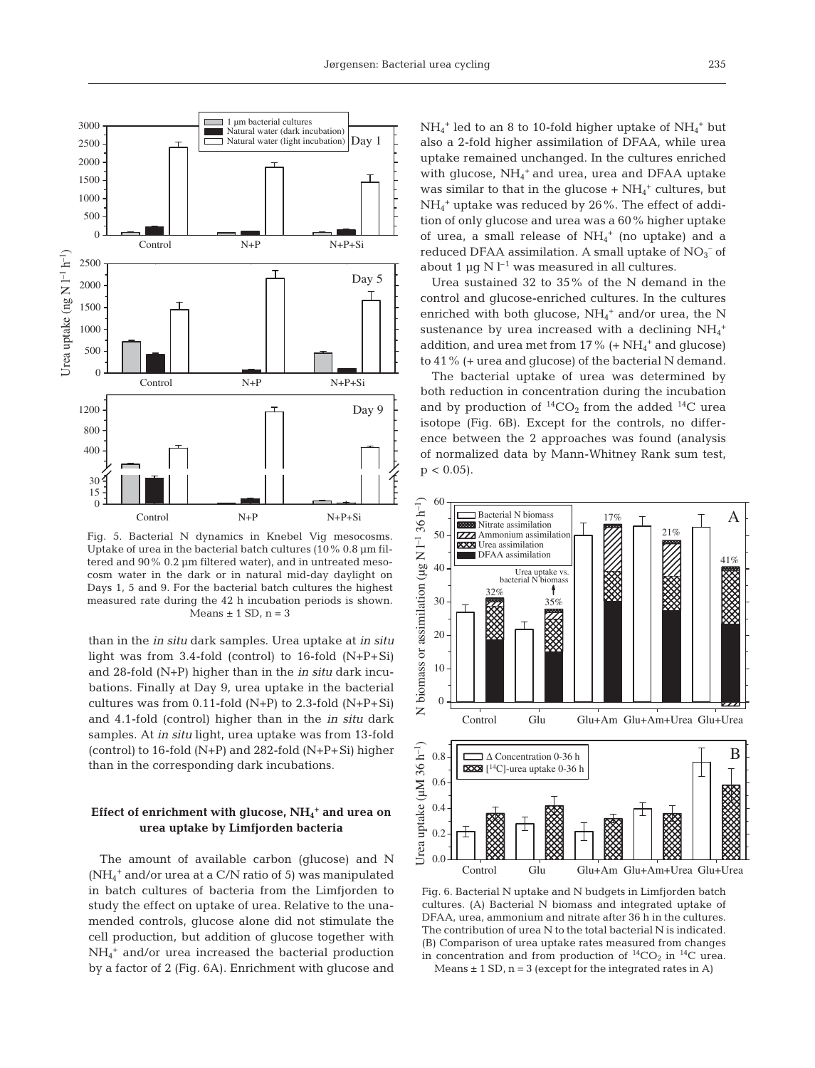

Fig. 5. Bacterial N dynamics in Knebel Vig mesocosms. Uptake of urea in the bacterial batch cultures (10% 0.8 µm filtered and 90% 0.2 µm filtered water), and in untreated mesocosm water in the dark or in natural mid-day daylight on Days 1, 5 and 9. For the bacterial batch cultures the highest measured rate during the 42 h incubation periods is shown. Means  $\pm$  1 SD, n = 3

than in the *in situ* dark samples. Urea uptake at *in situ* light was from 3.4-fold (control) to 16-fold (N+P+Si) and 28-fold (N+P) higher than in the *in situ* dark incubations. Finally at Day 9, urea uptake in the bacterial cultures was from  $0.11$ -fold (N+P) to 2.3-fold (N+P+Si) and 4.1-fold (control) higher than in the *in situ* dark samples. At *in situ* light, urea uptake was from 13-fold (control) to 16-fold  $(N+P)$  and 282-fold  $(N+P+Si)$  higher than in the corresponding dark incubations.

# **Effect of enrichment with glucose, NH4 <sup>+</sup> and urea on urea uptake by Limfjorden bacteria**

The amount of available carbon (glucose) and N (NH4 <sup>+</sup> and/or urea at a C/N ratio of 5) was manipulated in batch cultures of bacteria from the Limfjorden to study the effect on uptake of urea. Relative to the unamended controls, glucose alone did not stimulate the cell production, but addition of glucose together with NH4 <sup>+</sup> and/or urea increased the bacterial production by a factor of 2 (Fig. 6A). Enrichment with glucose and  $NH_4^+$  led to an 8 to 10-fold higher uptake of  $NH_4^+$  but also a 2-fold higher assimilation of DFAA, while urea uptake remained unchanged. In the cultures enriched with glucose,  $NH_4^+$  and urea, urea and DFAA uptake was similar to that in the glucose  $+$  NH<sub>4</sub><sup>+</sup> cultures, but NH4 <sup>+</sup> uptake was reduced by 26%. The effect of addition of only glucose and urea was a 60% higher uptake of urea, a small release of  $NH_4^+$  (no uptake) and a reduced DFAA assimilation. A small uptake of  $NO<sub>3</sub><sup>-</sup>$  of about 1  $\mu$ q N l<sup>-1</sup> was measured in all cultures.

Urea sustained 32 to 35% of the N demand in the control and glucose-enriched cultures. In the cultures enriched with both glucose,  $NH_4^+$  and/or urea, the N sustenance by urea increased with a declining  $\mathrm{NH}_4{}^+$ addition, and urea met from  $17\%$  (+  $NH_4^+$  and glucose) to 41% (+ urea and glucose) of the bacterial N demand.

The bacterial uptake of urea was determined by both reduction in concentration during the incubation and by production of  ${}^{14}CO_2$  from the added  ${}^{14}C$  urea isotope (Fig. 6B). Except for the controls, no difference between the 2 approaches was found (analysis of normalized data by Mann-Whitney Rank sum test,  $p < 0.05$ ).



Fig. 6. Bacterial N uptake and N budgets in Limfjorden batch cultures. (A) Bacterial N biomass and integrated uptake of DFAA, urea, ammonium and nitrate after 36 h in the cultures. The contribution of urea N to the total bacterial N is indicated. (B) Comparison of urea uptake rates measured from changes in concentration and from production of  ${}^{14}CO_2$  in  ${}^{14}C$  urea. Means  $\pm$  1 SD, n = 3 (except for the integrated rates in A)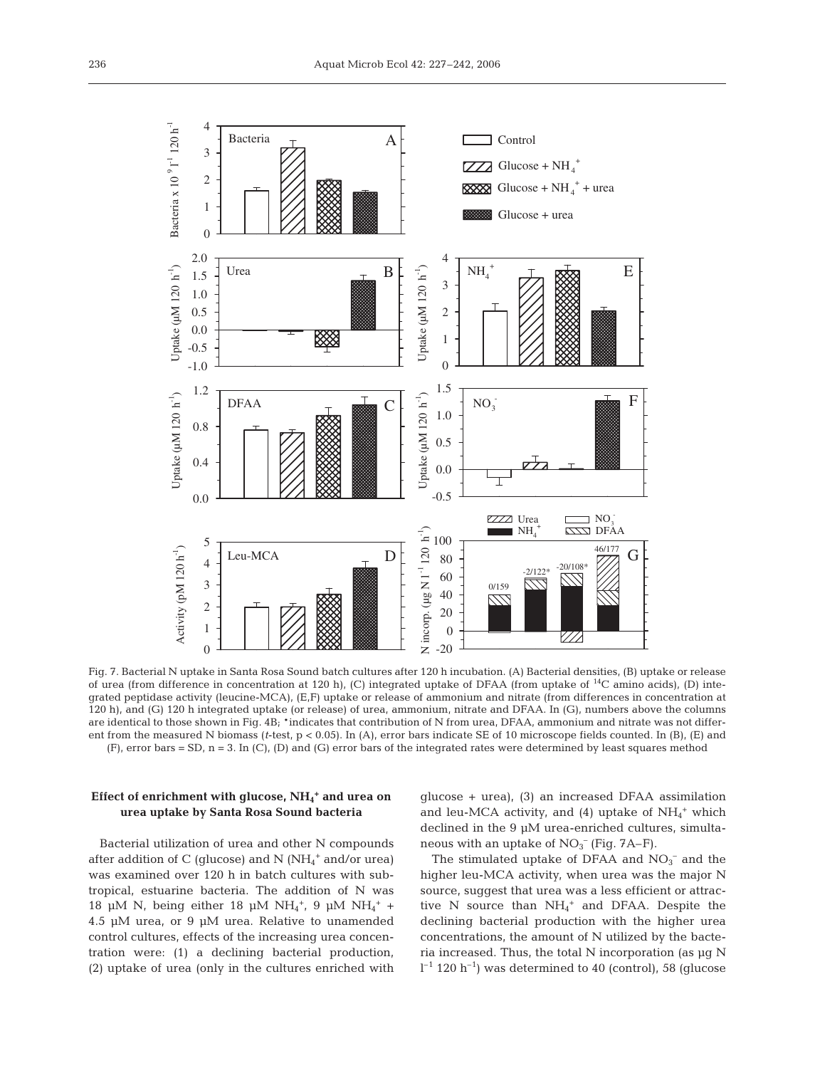

Fig. 7. Bacterial N uptake in Santa Rosa Sound batch cultures after 120 h incubation. (A) Bacterial densities, (B) uptake or release of urea (from difference in concentration at 120 h), (C) integrated uptake of DFAA (from uptake of 14C amino acids), (D) integrated peptidase activity (leucine-MCA), (E,F) uptake or release of ammonium and nitrate (from differences in concentration at 120 h), and (G) 120 h integrated uptake (or release) of urea, ammonium, nitrate and DFAA. In (G), numbers above the columns are identical to those shown in Fig.  $4B_i$  \*indicates that contribution of N from urea, DFAA, ammonium and nitrate was not different from the measured N biomass (*t*-test, p < 0.05). In (A), error bars indicate SE of 10 microscope fields counted. In (B), (E) and (F), error bars = SD, n = 3. In (C), (D) and (G) error bars of the integrated rates were determined by least squares method

## **Effect of enrichment with glucose, NH4 <sup>+</sup> and urea on urea uptake by Santa Rosa Sound bacteria**

Bacterial utilization of urea and other N compounds after addition of C (glucose) and N (NH<sub>4</sub><sup>+</sup> and/or urea) was examined over 120 h in batch cultures with subtropical, estuarine bacteria. The addition of N was 18 µM N, being either 18 µM NH<sub>4</sub><sup>+</sup>, 9 µM NH<sub>4</sub><sup>+</sup> + 4.5 µM urea, or 9 µM urea. Relative to unamended control cultures, effects of the increasing urea concentration were: (1) a declining bacterial production, (2) uptake of urea (only in the cultures enriched with glucose + urea), (3) an increased DFAA assimilation and leu-MCA activity, and (4) uptake of  $NH_4$ <sup>+</sup> which declined in the 9 µM urea-enriched cultures, simultaneous with an uptake of  $NO<sub>3</sub><sup>-</sup>$  (Fig. 7A–F).

The stimulated uptake of DFAA and  $NO<sub>3</sub><sup>-</sup>$  and the higher leu-MCA activity, when urea was the major N source, suggest that urea was a less efficient or attractive N source than  $NH_4^+$  and DFAA. Despite the declining bacterial production with the higher urea concentrations, the amount of N utilized by the bacteria increased. Thus, the total N incorporation (as µg N  $l^{-1}$  120 h<sup>-1</sup>) was determined to 40 (control), 58 (glucose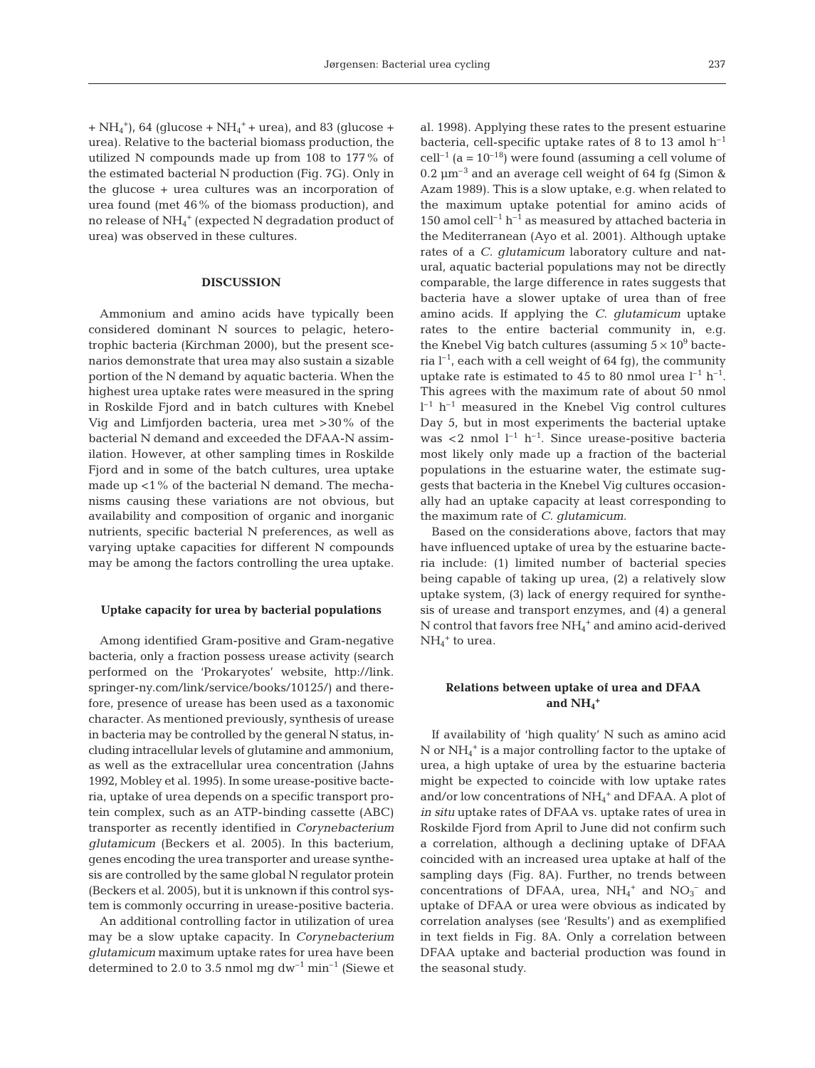$+NH<sub>4</sub><sup>+</sup>$ , 64 (glucose + NH<sub>4</sub><sup>+</sup> + urea), and 83 (glucose + urea). Relative to the bacterial biomass production, the utilized N compounds made up from 108 to 177% of the estimated bacterial N production (Fig. 7G). Only in the glucose + urea cultures was an incorporation of urea found (met 46% of the biomass production), and no release of  $\mathrm{NH}_4^+$  (expected  $\mathrm{N}$  degradation product of urea) was observed in these cultures.

## **DISCUSSION**

Ammonium and amino acids have typically been considered dominant N sources to pelagic, heterotrophic bacteria (Kirchman 2000), but the present scenarios demonstrate that urea may also sustain a sizable portion of the N demand by aquatic bacteria. When the highest urea uptake rates were measured in the spring in Roskilde Fjord and in batch cultures with Knebel Vig and Limfjorden bacteria, urea met >30% of the bacterial N demand and exceeded the DFAA-N assimilation. However, at other sampling times in Roskilde Fjord and in some of the batch cultures, urea uptake made up <1% of the bacterial N demand. The mechanisms causing these variations are not obvious, but availability and composition of organic and inorganic nutrients, specific bacterial N preferences, as well as varying uptake capacities for different N compounds may be among the factors controlling the urea uptake.

### **Uptake capacity for urea by bacterial populations**

Among identified Gram-positive and Gram-negative bacteria, only a fraction possess urease activity (search performed on the 'Prokaryotes' website, http://link. springer-ny.com/link/service/books/10125/) and therefore, presence of urease has been used as a taxonomic character. As mentioned previously, synthesis of urease in bacteria may be controlled by the general N status, including intracellular levels of glutamine and ammonium, as well as the extracellular urea concentration (Jahns 1992, Mobley et al. 1995). In some urease-positive bacteria, uptake of urea depends on a specific transport protein complex, such as an ATP-binding cassette (ABC) transporter as recently identified in *Corynebacterium glutamicum* (Beckers et al. 2005). In this bacterium, genes encoding the urea transporter and urease synthesis are controlled by the same global N regulator protein (Beckers et al. 2005), but it is unknown if this control system is commonly occurring in urease-positive bacteria.

An additional controlling factor in utilization of urea may be a slow uptake capacity. In *Corynebacterium glutamicum* maximum uptake rates for urea have been determined to 2.0 to 3.5 nmol mg  $dw^{-1}$  min<sup>-1</sup> (Siewe et

al. 1998). Applying these rates to the present estuarine bacteria, cell-specific uptake rates of 8 to 13 amol  $h^{-1}$  $cell^{-1}$  (a = 10<sup>-18</sup>) were found (assuming a cell volume of 0.2  $\mu$ m<sup>-3</sup> and an average cell weight of 64 fg (Simon & Azam 1989). This is a slow uptake, e.g. when related to the maximum uptake potential for amino acids of 150 amol cell<sup>-1</sup> h<sup>-1</sup> as measured by attached bacteria in the Mediterranean (Ayo et al. 2001). Although uptake rates of a *C. glutamicum* laboratory culture and natural, aquatic bacterial populations may not be directly comparable, the large difference in rates suggests that bacteria have a slower uptake of urea than of free amino acids. If applying the *C. glutamicum* uptake rates to the entire bacterial community in, e.g. the Knebel Vig batch cultures (assuming  $5 \times 10^9$  bacteria  $l^{-1}$ , each with a cell weight of 64 fg), the community uptake rate is estimated to 45 to 80 nmol urea  $l^{-1}$  h<sup>-1</sup>. This agrees with the maximum rate of about 50 nmol  $l^{-1}$  h<sup>-1</sup> measured in the Knebel Vig control cultures Day 5, but in most experiments the bacterial uptake was <2 nmol  $l^{-1}$  h<sup>-1</sup>. Since urease-positive bacteria most likely only made up a fraction of the bacterial populations in the estuarine water, the estimate suggests that bacteria in the Knebel Vig cultures occasionally had an uptake capacity at least corresponding to the maximum rate of *C. glutamicum*.

Based on the considerations above, factors that may have influenced uptake of urea by the estuarine bacteria include: (1) limited number of bacterial species being capable of taking up urea, (2) a relatively slow uptake system, (3) lack of energy required for synthesis of urease and transport enzymes, and (4) a general  $N$  control that favors free  $NH_4^+$  and amino acid-derived  $NH<sub>4</sub><sup>+</sup>$  to urea.

# **Relations between uptake of urea and DFAA**  and  $NH<sub>4</sub>$ <sup>+</sup>

If availability of 'high quality' N such as amino acid N or NH4 <sup>+</sup> is a major controlling factor to the uptake of urea, a high uptake of urea by the estuarine bacteria might be expected to coincide with low uptake rates and/or low concentrations of  $NH_4$ <sup>+</sup> and DFAA. A plot of *in situ* uptake rates of DFAA vs. uptake rates of urea in Roskilde Fjord from April to June did not confirm such a correlation, although a declining uptake of DFAA coincided with an increased urea uptake at half of the sampling days (Fig. 8A). Further, no trends between concentrations of DFAA, urea,  $NH_4^+$  and  $NO_3^-$  and uptake of DFAA or urea were obvious as indicated by correlation analyses (see 'Results') and as exemplified in text fields in Fig. 8A. Only a correlation between DFAA uptake and bacterial production was found in the seasonal study.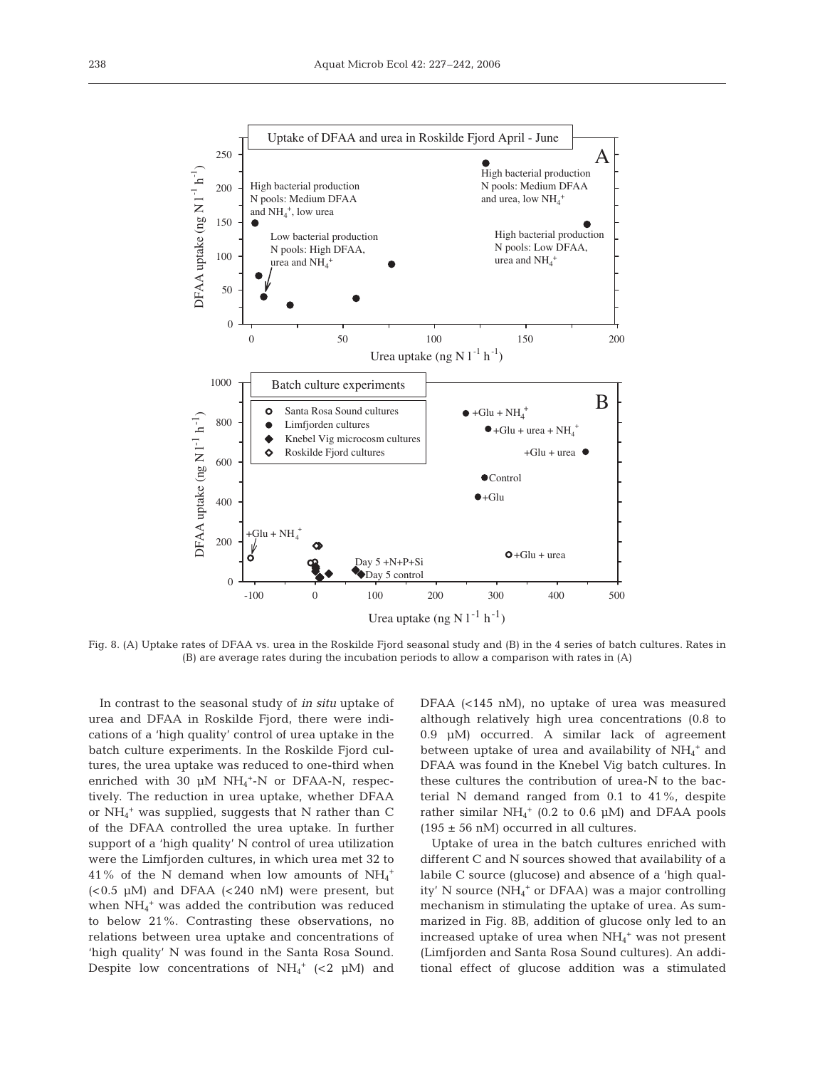

Fig. 8. (A) Uptake rates of DFAA vs. urea in the Roskilde Fjord seasonal study and (B) in the 4 series of batch cultures. Rates in (B) are average rates during the incubation periods to allow a comparison with rates in (A)

In contrast to the seasonal study of *in situ* uptake of urea and DFAA in Roskilde Fjord, there were indications of a 'high quality' control of urea uptake in the batch culture experiments. In the Roskilde Fjord cultures, the urea uptake was reduced to one-third when enriched with 30  $\mu$ M NH<sub>4</sub><sup>+</sup>-N or DFAA-N, respectively. The reduction in urea uptake, whether DFAA or NH4 <sup>+</sup> was supplied, suggests that N rather than C of the DFAA controlled the urea uptake. In further support of a 'high quality' N control of urea utilization were the Limfjorden cultures, in which urea met 32 to 41% of the N demand when low amounts of  $NH_4^+$ (<0.5 µM) and DFAA (<240 nM) were present, but when  $NH_4^+$  was added the contribution was reduced to below 21%. Contrasting these observations, no relations between urea uptake and concentrations of 'high quality' N was found in the Santa Rosa Sound. Despite low concentrations of  $NH_4^+$  (<2  $\mu$ M) and

DFAA (<145 nM), no uptake of urea was measured although relatively high urea concentrations (0.8 to 0.9 µM) occurred. A similar lack of agreement between uptake of urea and availability of  $NH_4^+$  and DFAA was found in the Knebel Vig batch cultures. In these cultures the contribution of urea-N to the bacterial N demand ranged from 0.1 to 41%, despite rather similar  $NH_4^+$  (0.2 to 0.6  $\mu$ M) and DFAA pools  $(195 \pm 56 \text{ nM})$  occurred in all cultures.

Uptake of urea in the batch cultures enriched with different C and N sources showed that availability of a labile C source (glucose) and absence of a 'high quality' N source (NH<sub>4</sub><sup>+</sup> or DFAA) was a major controlling mechanism in stimulating the uptake of urea. As summarized in Fig. 8B, addition of glucose only led to an increased uptake of urea when  $NH_4$ <sup>+</sup> was not present (Limfjorden and Santa Rosa Sound cultures). An additional effect of glucose addition was a stimulated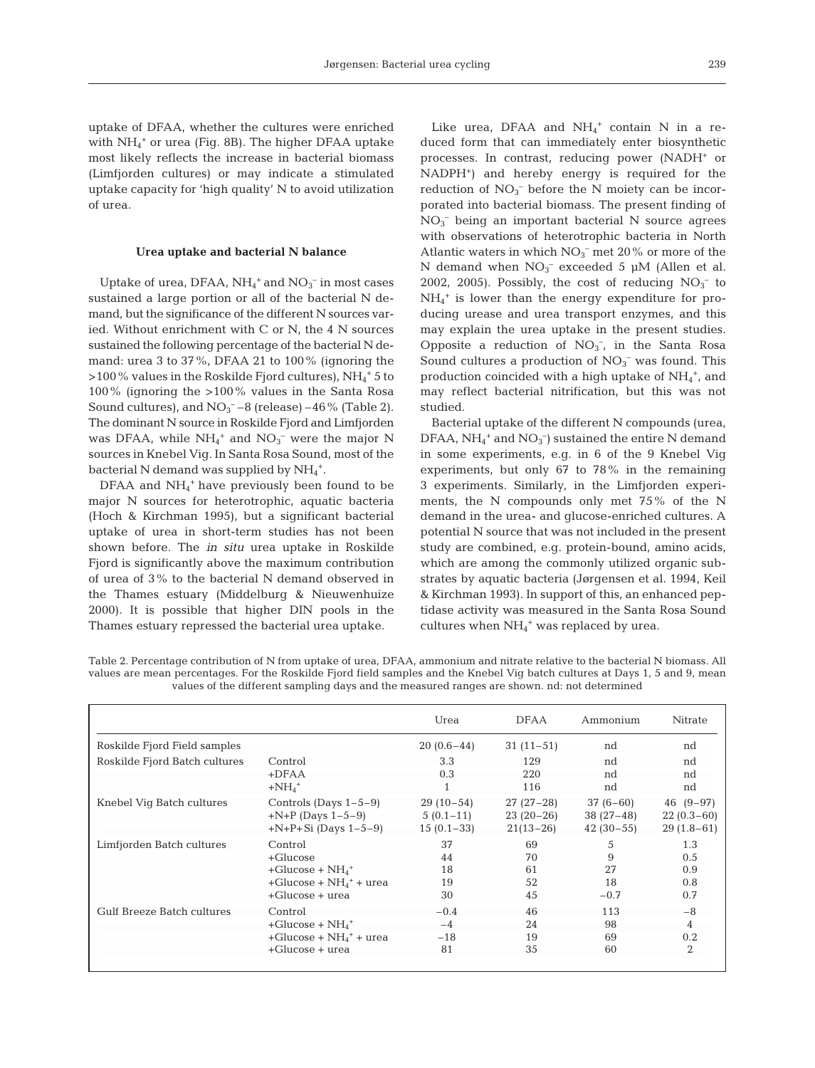uptake of DFAA, whether the cultures were enriched with  $NH_4$ <sup>+</sup> or urea (Fig. 8B). The higher DFAA uptake most likely reflects the increase in bacterial biomass (Limfjorden cultures) or may indicate a stimulated uptake capacity for 'high quality' N to avoid utilization of urea.

#### **Urea uptake and bacterial N balance**

Uptake of urea, DFAA,  $NH_4^+$  and  $NO_3^-$  in most cases sustained a large portion or all of the bacterial N demand, but the significance of the different N sources varied. Without enrichment with C or N, the 4 N sources sustained the following percentage of the bacterial N demand: urea 3 to 37%, DFAA 21 to 100% (ignoring the  $>$  100 % values in the Roskilde Fjord cultures), NH $_4^+$  5 to 100% (ignoring the >100% values in the Santa Rosa Sound cultures), and  $NO<sub>3</sub><sup>-</sup> - 8$  (release)  $-46\%$  (Table 2). The dominant N source in Roskilde Fjord and Limfjorden was DFAA, while  $NH_4^+$  and  $NO_3^-$  were the major N sources in Knebel Vig. In Santa Rosa Sound, most of the bacterial N demand was supplied by NH<sub>4</sub><sup>+</sup>.

DFAA and NH<sub>4</sub><sup>+</sup> have previously been found to be major N sources for heterotrophic, aquatic bacteria (Hoch & Kirchman 1995), but a significant bacterial uptake of urea in short-term studies has not been shown before. The *in situ* urea uptake in Roskilde Fjord is significantly above the maximum contribution of urea of 3% to the bacterial N demand observed in the Thames estuary (Middelburg & Nieuwenhuize 2000). It is possible that higher DIN pools in the Thames estuary repressed the bacterial urea uptake.

Like urea, DFAA and  $NH_4^+$  contain N in a reduced form that can immediately enter biosynthetic processes. In contrast, reducing power (NADH+ or NADPH+) and hereby energy is required for the reduction of  $NO<sub>3</sub><sup>-</sup>$  before the N moiety can be incorporated into bacterial biomass. The present finding of NO3 – being an important bacterial N source agrees with observations of heterotrophic bacteria in North Atlantic waters in which  $NO<sub>3</sub><sup>-</sup>$  met 20% or more of the N demand when  $NO_3^-$  exceeded 5 µM (Allen et al. 2002, 2005). Possibly, the cost of reducing  $NO<sub>3</sub><sup>-</sup>$  to  $NH_4^+$  is lower than the energy expenditure for producing urease and urea transport enzymes, and this may explain the urea uptake in the present studies. Opposite a reduction of  $NO<sub>3</sub><sup>-</sup>$ , in the Santa Rosa Sound cultures a production of  $NO<sub>3</sub><sup>-</sup>$  was found. This production coincided with a high uptake of  $NH_4^+$ , and may reflect bacterial nitrification, but this was not studied.

Bacterial uptake of the different N compounds (urea, DFAA,  $NH_4^+$  and  $NO_3^-$ ) sustained the entire N demand in some experiments, e.g. in 6 of the 9 Knebel Vig experiments, but only 67 to 78% in the remaining 3 experiments. Similarly, in the Limfjorden experiments, the N compounds only met 75% of the N demand in the urea- and glucose-enriched cultures. A potential N source that was not included in the present study are combined, e.g. protein-bound, amino acids, which are among the commonly utilized organic substrates by aquatic bacteria (Jørgensen et al. 1994, Keil & Kirchman 1993). In support of this, an enhanced peptidase activity was measured in the Santa Rosa Sound cultures when NH<sub>4</sub><sup>+</sup> was replaced by urea.

| Table 2. Percentage contribution of N from uptake of urea, DFAA, ammonium and nitrate relative to the bacterial N biomass. All |
|--------------------------------------------------------------------------------------------------------------------------------|
| values are mean percentages. For the Roskilde Fjord field samples and the Knebel Vig batch cultures at Days 1, 5 and 9, mean   |
| values of the different sampling days and the measured ranges are shown, nd; not determined                                    |

|                               |                                                   | Urea         | <b>DFAA</b>       | Ammonium       | Nitrate        |
|-------------------------------|---------------------------------------------------|--------------|-------------------|----------------|----------------|
| Roskilde Fjord Field samples  |                                                   | $20(0.6-44)$ | $31(11-51)$       | nd             | nd             |
| Roskilde Fjord Batch cultures | Control<br>$+DFAA$<br>$+NH4$ <sup>+</sup>         | 3.3<br>0.3   | 129<br>220<br>116 | nd<br>nd<br>nd | nd<br>nd<br>nd |
| Knebel Vig Batch cultures     | Controls (Days $1-5-9$ )                          | $29(10-54)$  | $27(27-28)$       | $37(6-60)$     | $46(9-97)$     |
|                               | $+N+P$ (Days 1-5-9)                               | $5(0.1-11)$  | $23(20-26)$       | $38(27-48)$    | $22(0.3-60)$   |
|                               | $+N+P+Si$ (Days 1-5-9)                            | $15(0.1-33)$ | $21(13-26)$       | $42(30-55)$    | $29(1.8-61)$   |
| Limfjorden Batch cultures     | Control                                           | 37           | 69                | 5              | 1.3            |
|                               | $+$ Glucose                                       | 44           | 70                | 9              | 0.5            |
|                               | +Glucose + $NH4$ <sup>+</sup>                     | 18           | 61                | 27             | 0.9            |
|                               | $+$ Glucose + N $H_4$ <sup>+</sup> + urea         | 19           | 52                | 18             | 0.8            |
|                               | $+$ Glucose $+$ urea                              | 30           | 45                | $-0.7$         | 0.7            |
| Gulf Breeze Batch cultures    | Control                                           | $-0.4$       | 46                | 113            | $-8$           |
|                               | $+$ Glucose + NH <sub>4</sub> <sup>+</sup>        | $-4$         | 24                | 98             | 4              |
|                               | $+$ Glucose + NH <sub>4</sub> <sup>+</sup> + urea | $-18$        | 19                | 69             | 0.2            |
|                               | $+$ Glucose $+$ urea                              | 81           | 35                | 60             | 2              |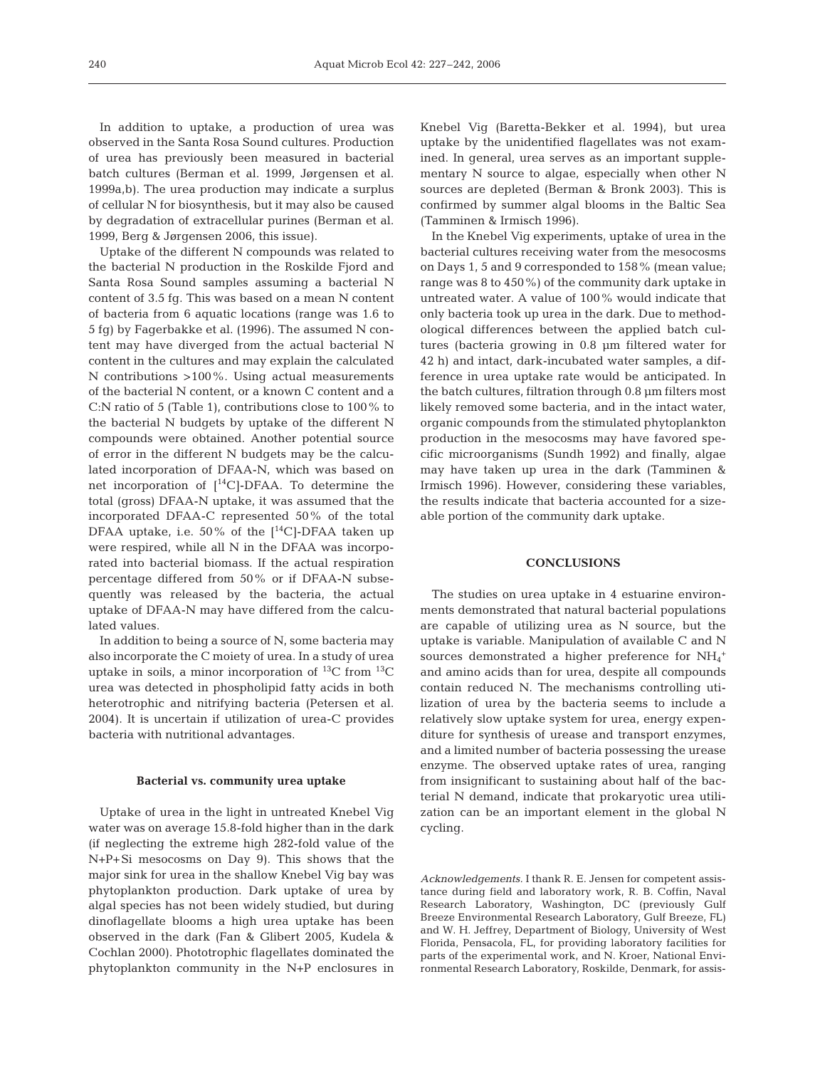In addition to uptake, a production of urea was observed in the Santa Rosa Sound cultures. Production of urea has previously been measured in bacterial batch cultures (Berman et al. 1999, Jørgensen et al. 1999a,b). The urea production may indicate a surplus of cellular N for biosynthesis, but it may also be caused by degradation of extracellular purines (Berman et al. 1999, Berg & Jørgensen 2006, this issue).

Uptake of the different N compounds was related to the bacterial N production in the Roskilde Fjord and Santa Rosa Sound samples assuming a bacterial N content of 3.5 fg. This was based on a mean N content of bacteria from 6 aquatic locations (range was 1.6 to 5 fg) by Fagerbakke et al. (1996). The assumed N content may have diverged from the actual bacterial N content in the cultures and may explain the calculated N contributions >100%. Using actual measurements of the bacterial N content, or a known C content and a C:N ratio of 5 (Table 1), contributions close to 100% to the bacterial N budgets by uptake of the different N compounds were obtained. Another potential source of error in the different N budgets may be the calculated incorporation of DFAA-N, which was based on net incorporation of [14C]-DFAA. To determine the total (gross) DFAA-N uptake, it was assumed that the incorporated DFAA-C represented 50% of the total DFAA uptake, i.e. 50% of the  $[$ <sup>14</sup>C]-DFAA taken up were respired, while all N in the DFAA was incorporated into bacterial biomass. If the actual respiration percentage differed from 50% or if DFAA-N subsequently was released by the bacteria, the actual uptake of DFAA-N may have differed from the calculated values.

In addition to being a source of N, some bacteria may also incorporate the C moiety of urea. In a study of urea uptake in soils, a minor incorporation of  $^{13}C$  from  $^{13}C$ urea was detected in phospholipid fatty acids in both heterotrophic and nitrifying bacteria (Petersen et al. 2004). It is uncertain if utilization of urea-C provides bacteria with nutritional advantages.

### **Bacterial vs. community urea uptake**

Uptake of urea in the light in untreated Knebel Vig water was on average 15.8-fold higher than in the dark (if neglecting the extreme high 282-fold value of the N+P+Si mesocosms on Day 9). This shows that the major sink for urea in the shallow Knebel Vig bay was phytoplankton production. Dark uptake of urea by algal species has not been widely studied, but during dinoflagellate blooms a high urea uptake has been observed in the dark (Fan & Glibert 2005, Kudela & Cochlan 2000). Phototrophic flagellates dominated the phytoplankton community in the N+P enclosures in Knebel Vig (Baretta-Bekker et al. 1994), but urea uptake by the unidentified flagellates was not examined. In general, urea serves as an important supplementary N source to algae, especially when other N sources are depleted (Berman & Bronk 2003). This is confirmed by summer algal blooms in the Baltic Sea (Tamminen & Irmisch 1996).

In the Knebel Vig experiments, uptake of urea in the bacterial cultures receiving water from the mesocosms on Days 1, 5 and 9 corresponded to 158% (mean value; range was 8 to 450%) of the community dark uptake in untreated water. A value of 100% would indicate that only bacteria took up urea in the dark. Due to methodological differences between the applied batch cultures (bacteria growing in 0.8 µm filtered water for 42 h) and intact, dark-incubated water samples, a difference in urea uptake rate would be anticipated. In the batch cultures, filtration through 0.8 µm filters most likely removed some bacteria, and in the intact water, organic compounds from the stimulated phytoplankton production in the mesocosms may have favored specific microorganisms (Sundh 1992) and finally, algae may have taken up urea in the dark (Tamminen & Irmisch 1996). However, considering these variables, the results indicate that bacteria accounted for a sizeable portion of the community dark uptake.

## **CONCLUSIONS**

The studies on urea uptake in 4 estuarine environments demonstrated that natural bacterial populations are capable of utilizing urea as N source, but the uptake is variable. Manipulation of available C and N sources demonstrated a higher preference for  $NH_4^+$ and amino acids than for urea, despite all compounds contain reduced N. The mechanisms controlling utilization of urea by the bacteria seems to include a relatively slow uptake system for urea, energy expenditure for synthesis of urease and transport enzymes, and a limited number of bacteria possessing the urease enzyme. The observed uptake rates of urea, ranging from insignificant to sustaining about half of the bacterial N demand, indicate that prokaryotic urea utilization can be an important element in the global N cycling.

*Acknowledgements.* I thank R. E. Jensen for competent assistance during field and laboratory work, R. B. Coffin, Naval Research Laboratory, Washington, DC (previously Gulf Breeze Environmental Research Laboratory, Gulf Breeze, FL) and W. H. Jeffrey, Department of Biology, University of West Florida, Pensacola, FL, for providing laboratory facilities for parts of the experimental work, and N. Kroer, National Environmental Research Laboratory, Roskilde, Denmark, for assis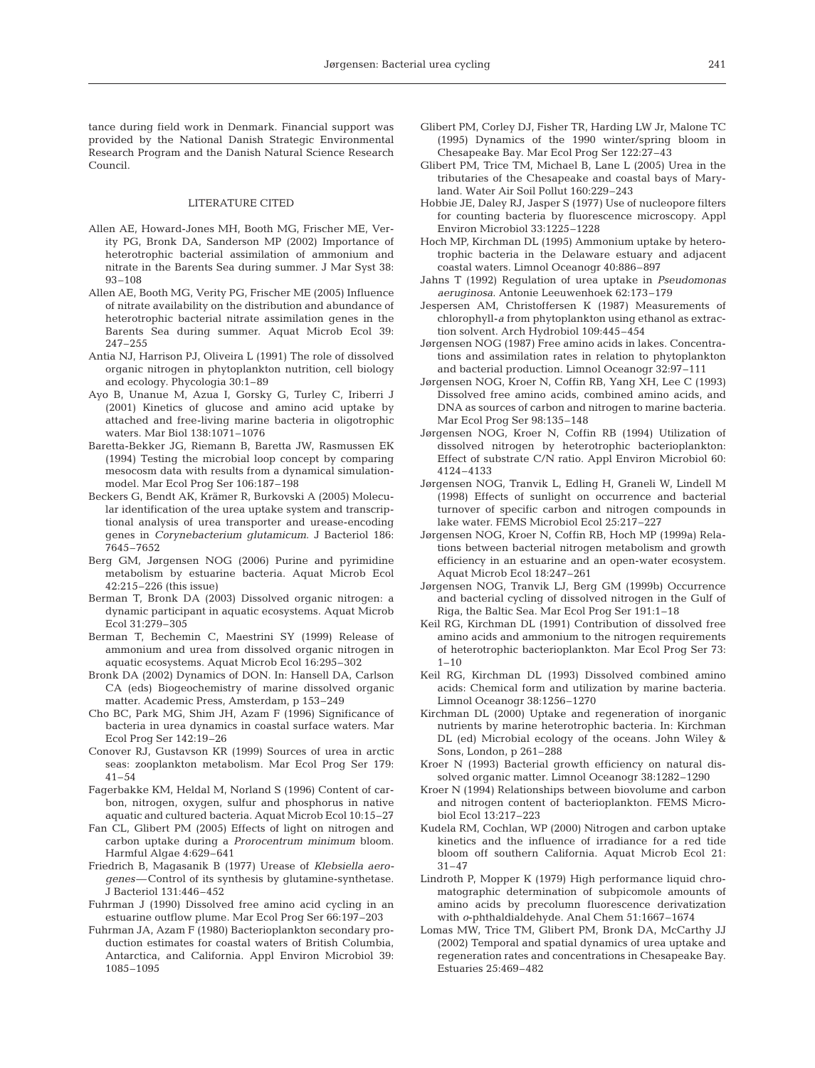tance during field work in Denmark. Financial support was provided by the National Danish Strategic Environmental Research Program and the Danish Natural Science Research Council.

#### LITERATURE CITED

- Allen AE, Howard-Jones MH, Booth MG, Frischer ME, Verity PG, Bronk DA, Sanderson MP (2002) Importance of heterotrophic bacterial assimilation of ammonium and nitrate in the Barents Sea during summer. J Mar Syst 38: 93–108
- Allen AE, Booth MG, Verity PG, Frischer ME (2005) Influence of nitrate availability on the distribution and abundance of heterotrophic bacterial nitrate assimilation genes in the Barents Sea during summer. Aquat Microb Ecol 39: 247–255
- Antia NJ, Harrison PJ, Oliveira L (1991) The role of dissolved organic nitrogen in phytoplankton nutrition, cell biology and ecology. Phycologia 30:1–89
- Ayo B, Unanue M, Azua I, Gorsky G, Turley C, Iriberri J (2001) Kinetics of glucose and amino acid uptake by attached and free-living marine bacteria in oligotrophic waters. Mar Biol 138:1071–1076
- Baretta-Bekker JG, Riemann B, Baretta JW, Rasmussen EK (1994) Testing the microbial loop concept by comparing mesocosm data with results from a dynamical simulationmodel. Mar Ecol Prog Ser 106:187–198
- Beckers G, Bendt AK, Krämer R, Burkovski A (2005) Molecular identification of the urea uptake system and transcriptional analysis of urea transporter and urease-encoding genes in *Corynebacterium glutamicum*. J Bacteriol 186: 7645–7652
- Berg GM, Jørgensen NOG (2006) Purine and pyrimidine metabolism by estuarine bacteria. Aquat Microb Ecol 42:215–226 (this issue)
- Berman T, Bronk DA (2003) Dissolved organic nitrogen: a dynamic participant in aquatic ecosystems. Aquat Microb Ecol 31:279–305
- Berman T, Bechemin C, Maestrini SY (1999) Release of ammonium and urea from dissolved organic nitrogen in aquatic ecosystems. Aquat Microb Ecol 16:295–302
- Bronk DA (2002) Dynamics of DON. In: Hansell DA, Carlson CA (eds) Biogeochemistry of marine dissolved organic matter. Academic Press, Amsterdam, p 153–249
- Cho BC, Park MG, Shim JH, Azam F (1996) Significance of bacteria in urea dynamics in coastal surface waters. Mar Ecol Prog Ser 142:19–26
- Conover RJ, Gustavson KR (1999) Sources of urea in arctic seas: zooplankton metabolism. Mar Ecol Prog Ser 179: 41–54
- Fagerbakke KM, Heldal M, Norland S (1996) Content of carbon, nitrogen, oxygen, sulfur and phosphorus in native aquatic and cultured bacteria. Aquat Microb Ecol 10:15–27
- Fan CL, Glibert PM (2005) Effects of light on nitrogen and carbon uptake during a *Prorocentrum minimum* bloom. Harmful Algae 4:629–641
- Friedrich B, Magasanik B (1977) Urease of *Klebsiella aerogenes*—Control of its synthesis by glutamine-synthetase. J Bacteriol 131:446–452
- Fuhrman J (1990) Dissolved free amino acid cycling in an estuarine outflow plume. Mar Ecol Prog Ser 66:197–203
- Fuhrman JA, Azam F (1980) Bacterioplankton secondary production estimates for coastal waters of British Columbia, Antarctica, and California. Appl Environ Microbiol 39: 1085–1095
- Glibert PM, Corley DJ, Fisher TR, Harding LW Jr, Malone TC (1995) Dynamics of the 1990 winter/spring bloom in Chesapeake Bay. Mar Ecol Prog Ser 122:27–43
- Glibert PM, Trice TM, Michael B, Lane L (2005) Urea in the tributaries of the Chesapeake and coastal bays of Maryland. Water Air Soil Pollut 160:229–243
- Hobbie JE, Daley RJ, Jasper S (1977) Use of nucleopore filters for counting bacteria by fluorescence microscopy. Appl Environ Microbiol 33:1225–1228
- Hoch MP, Kirchman DL (1995) Ammonium uptake by heterotrophic bacteria in the Delaware estuary and adjacent coastal waters. Limnol Oceanogr 40:886–897
- Jahns T (1992) Regulation of urea uptake in *Pseudomonas aeruginosa*. Antonie Leeuwenhoek 62:173–179
- Jespersen AM, Christoffersen K (1987) Measurements of chlorophyll-*a* from phytoplankton using ethanol as extraction solvent. Arch Hydrobiol 109:445–454
- Jørgensen NOG (1987) Free amino acids in lakes. Concentrations and assimilation rates in relation to phytoplankton and bacterial production. Limnol Oceanogr 32:97–111
- Jørgensen NOG, Kroer N, Coffin RB, Yang XH, Lee C (1993) Dissolved free amino acids, combined amino acids, and DNA as sources of carbon and nitrogen to marine bacteria. Mar Ecol Prog Ser 98:135–148
- Jørgensen NOG, Kroer N, Coffin RB (1994) Utilization of dissolved nitrogen by heterotrophic bacterioplankton: Effect of substrate C/N ratio. Appl Environ Microbiol 60: 4124–4133
- Jørgensen NOG, Tranvik L, Edling H, Graneli W, Lindell M (1998) Effects of sunlight on occurrence and bacterial turnover of specific carbon and nitrogen compounds in lake water. FEMS Microbiol Ecol 25:217–227
- Jørgensen NOG, Kroer N, Coffin RB, Hoch MP (1999a) Relations between bacterial nitrogen metabolism and growth efficiency in an estuarine and an open-water ecosystem. Aquat Microb Ecol 18:247–261
- Jørgensen NOG, Tranvik LJ, Berg GM (1999b) Occurrence and bacterial cycling of dissolved nitrogen in the Gulf of Riga, the Baltic Sea. Mar Ecol Prog Ser 191:1–18
- Keil RG, Kirchman DL (1991) Contribution of dissolved free amino acids and ammonium to the nitrogen requirements of heterotrophic bacterioplankton. Mar Ecol Prog Ser 73: 1–10
- Keil RG, Kirchman DL (1993) Dissolved combined amino acids: Chemical form and utilization by marine bacteria. Limnol Oceanogr 38:1256–1270
- Kirchman DL (2000) Uptake and regeneration of inorganic nutrients by marine heterotrophic bacteria. In: Kirchman DL (ed) Microbial ecology of the oceans. John Wiley & Sons, London, p 261–288
- Kroer N (1993) Bacterial growth efficiency on natural dissolved organic matter. Limnol Oceanogr 38:1282–1290
- Kroer N (1994) Relationships between biovolume and carbon and nitrogen content of bacterioplankton. FEMS Microbiol Ecol 13:217–223
- Kudela RM, Cochlan, WP (2000) Nitrogen and carbon uptake kinetics and the influence of irradiance for a red tide bloom off southern California. Aquat Microb Ecol 21: 31–47
- Lindroth P, Mopper K (1979) High performance liquid chromatographic determination of subpicomole amounts of amino acids by precolumn fluorescence derivatization with *o*-phthaldialdehyde. Anal Chem 51:1667–1674
- Lomas MW, Trice TM, Glibert PM, Bronk DA, McCarthy JJ (2002) Temporal and spatial dynamics of urea uptake and regeneration rates and concentrations in Chesapeake Bay. Estuaries 25:469–482